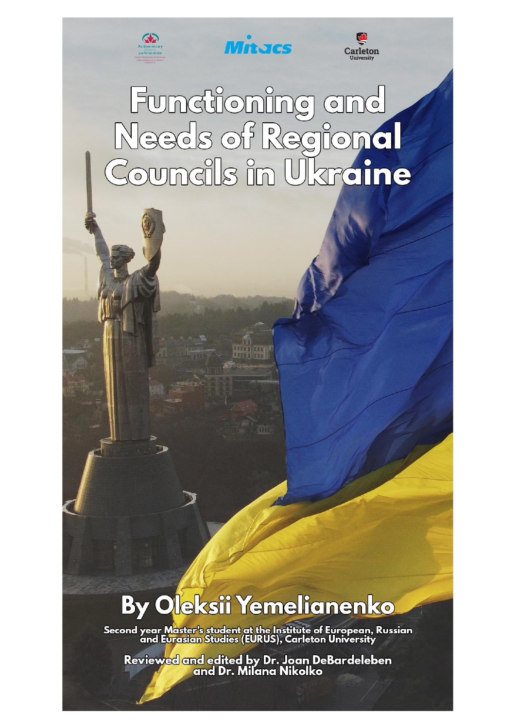

**Mitores** 



# Functioning and<br>Needs of Regional<br>Councils in Ukraine

**RAIL** 

# **By Oleksii Yemelianenko**

Second year Master's student at the Institute of European, Russian<br>and Eur<u>asian</u> Studies (EURUS), Carleton University

Review<mark>ed and edited by Dr. Joan DeBardeleben</mark><br>and Dr. Milana Nikolko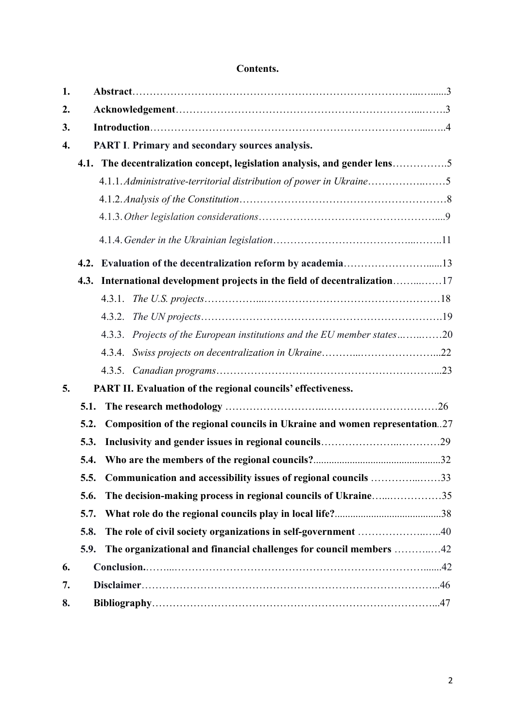# **Contents.**

| 1.                 |      |                                                                            |  |
|--------------------|------|----------------------------------------------------------------------------|--|
| 2.                 |      |                                                                            |  |
| 3.                 |      |                                                                            |  |
| $\boldsymbol{4}$ . |      | PART I. Primary and secondary sources analysis.                            |  |
|                    |      | 4.1. The decentralization concept, legislation analysis, and gender lens5  |  |
|                    |      | 4.1.1.Administrative-territorial distribution of power in Ukraine5         |  |
|                    |      |                                                                            |  |
|                    |      |                                                                            |  |
|                    |      |                                                                            |  |
|                    |      | 4.2. Evaluation of the decentralization reform by academia13               |  |
|                    | 4.3. | International development projects in the field of decentralization17      |  |
|                    |      |                                                                            |  |
|                    |      |                                                                            |  |
|                    |      | 4.3.3. Projects of the European institutions and the EU member states20    |  |
|                    |      |                                                                            |  |
|                    |      |                                                                            |  |
| 5.                 |      | PART II. Evaluation of the regional councils' effectiveness.               |  |
|                    | 5.1. |                                                                            |  |
|                    | 5.2. | Composition of the regional councils in Ukraine and women representation27 |  |
|                    | 5.3. |                                                                            |  |
|                    | 5.4. |                                                                            |  |
|                    | 5.5. | Communication and accessibility issues of regional councils 33             |  |
|                    | 5.6. | The decision-making process in regional councils of Ukraine35              |  |
|                    | 5.7. |                                                                            |  |
|                    | 5.8. |                                                                            |  |
|                    | 5.9. | The organizational and financial challenges for council members 42         |  |
| 6.                 |      |                                                                            |  |
| 7.                 |      |                                                                            |  |
| 8.                 |      |                                                                            |  |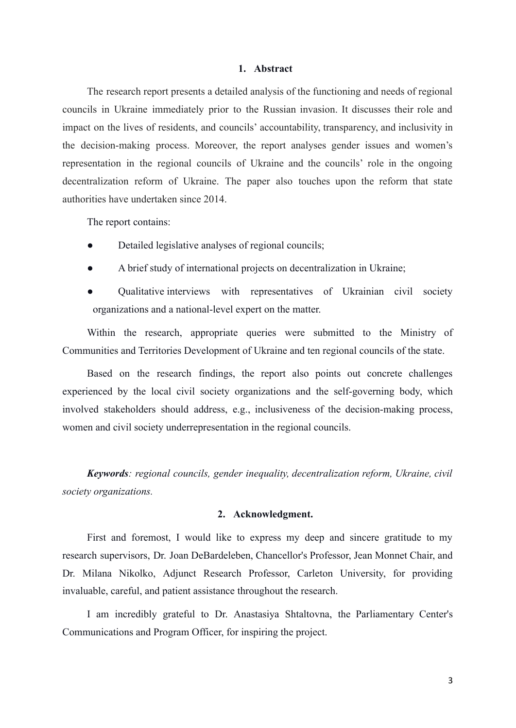# **1. Abstract**

The research report presents a detailed analysis of the functioning and needs of regional councils in Ukraine immediately prior to the Russian invasion. It discusses their role and impact on the lives of residents, and councils' accountability, transparency, and inclusivity in the decision-making process. Moreover, the report analyses gender issues and women's representation in the regional councils of Ukraine and the councils' role in the ongoing decentralization reform of Ukraine. The paper also touches upon the reform that state authorities have undertaken since 2014.

The report contains:

- Detailed legislative analyses of regional councils;
- **●** A brief study of international projects on decentralization in Ukraine;
- **●** Qualitative interviews with representatives of Ukrainian civil society organizations and a national-level expert on the matter.

Within the research, appropriate queries were submitted to the Ministry of Communities and Territories Development of Ukraine and ten regional councils of the state.

Based on the research findings, the report also points out concrete challenges experienced by the local civil society organizations and the self-governing body, which involved stakeholders should address, e.g., inclusiveness of the decision-making process, women and civil society underrepresentation in the regional councils.

*Keywords: regional councils, gender inequality, decentralization reform, Ukraine, civil society organizations.*

# **2. Acknowledgment.**

First and foremost, I would like to express my deep and sincere gratitude to my research supervisors, Dr. Joan DeBardeleben, Chancellor's Professor, Jean Monnet Chair, and Dr. Milana Nikolko, Adjunct Research Professor, Carleton University, for providing invaluable, careful, and patient assistance throughout the research.

I am incredibly grateful to Dr. Anastasiya Shtaltovna, the Parliamentary Center's Communications and Program Officer, for inspiring the project.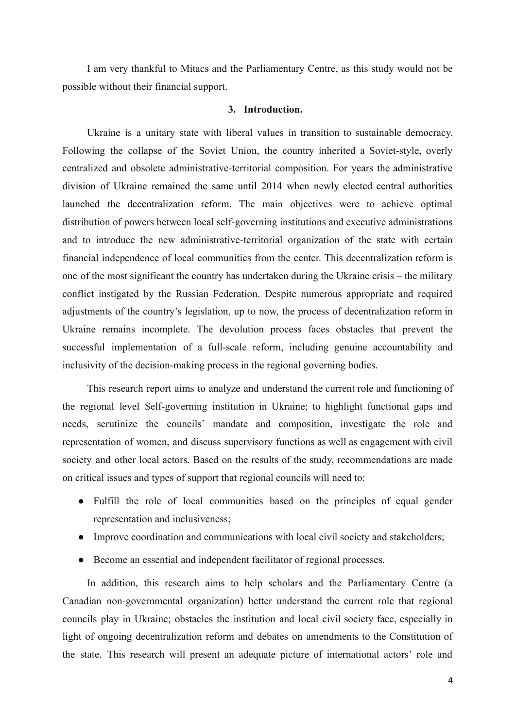I am very thankful to Mitacs and the Parliamentary Centre, as this study would not be possible without their financial support.

# **3. Introduction.**

Ukraine is a unitary state with liberal values in transition to sustainable democracy. Following the collapse of the Soviet Union, the country inherited a Soviet-style, overly centralized and obsolete administrative-territorial composition. For years the administrative division of Ukraine remained the same until 2014 when newly elected central authorities launched the decentralization reform. The main objectives were to achieve optimal distribution of powers between local self-governing institutions and executive administrations and to introduce the new administrative-territorial organization of the state with certain financial independence of local communities from the center. This decentralization reform is one of the most significant the country has undertaken during the Ukraine crisis – the military conflict instigated by the Russian Federation. Despite numerous appropriate and required adjustments of the country's legislation, up to now, the process of decentralization reform in Ukraine remains incomplete. The devolution process faces obstacles that prevent the successful implementation of a full-scale reform, including genuine accountability and inclusivity of the decision-making process in the regional governing bodies.

This research report aims to analyze and understand the current role and functioning of the regional level Self-governing institution in Ukraine; to highlight functional gaps and needs, scrutinize the councils' mandate and composition, investigate the role and representation of women, and discuss supervisory functions as well as engagement with civil society and other local actors. Based on the results of the study, recommendations are made on critical issues and types of support that regional councils will need to:

- Fulfill the role of local communities based on the principles of equal gender representation and inclusiveness;
- Improve coordination and communications with local civil society and stakeholders;
- Become an essential and independent facilitator of regional processes.

In addition, this research aims to help scholars and the Parliamentary Centre (a Canadian non-governmental organization) better understand the current role that regional councils play in Ukraine; obstacles the institution and local civil society face, especially in light of ongoing decentralization reform and debates on amendments to the Constitution of the state. This research will present an adequate picture of international actors' role and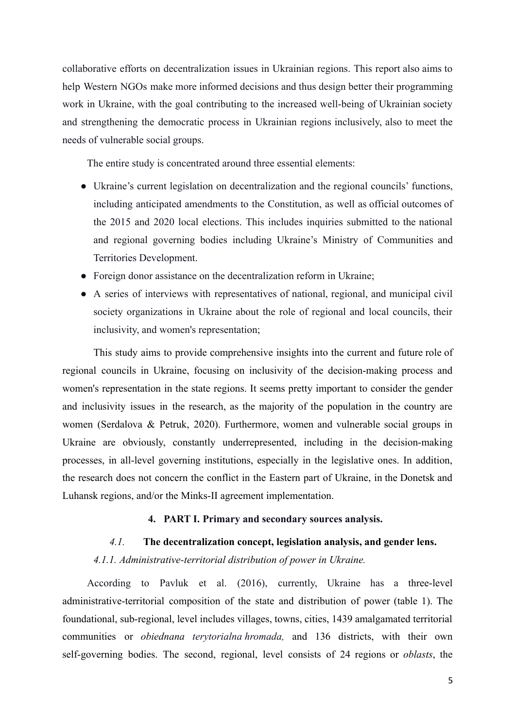collaborative efforts on decentralization issues in Ukrainian regions. This report also aims to help Western NGOs make more informed decisions and thus design better their programming work in Ukraine, with the goal contributing to the increased well-being of Ukrainian society and strengthening the democratic process in Ukrainian regions inclusively, also to meet the needs of vulnerable social groups.

The entire study is concentrated around three essential elements:

- Ukraine's current legislation on decentralization and the regional councils' functions, including anticipated amendments to the Constitution, as well as official outcomes of the 2015 and 2020 local elections. This includes inquiries submitted to the national and regional governing bodies including Ukraine's Ministry of Communities and Territories Development.
- Foreign donor assistance on the decentralization reform in Ukraine;
- A series of interviews with representatives of national, regional, and municipal civil society organizations in Ukraine about the role of regional and local councils, their inclusivity, and women's representation;

This study aims to provide comprehensive insights into the current and future role of regional councils in Ukraine, focusing on inclusivity of the decision-making process and women's representation in the state regions. It seems pretty important to consider the gender and inclusivity issues in the research, as the majority of the population in the country are women (Serdalova & Petruk, 2020). Furthermore, women and vulnerable social groups in Ukraine are obviously, constantly underrepresented, including in the decision-making processes, in all-level governing institutions, especially in the legislative ones. In addition, the research does not concern the conflict in the Eastern part of Ukraine, in the Donetsk and Luhansk regions, and/or the Minks-II agreement implementation.

# **4. PART I. Primary and secondary sources analysis.**

# *4.1.* **The decentralization concept, legislation analysis, and gender lens.**

*4.1.1. Administrative-territorial distribution of power in Ukraine.*

According to Pavluk et al. (2016), currently, Ukraine has a three-level administrative-territorial composition of the state and distribution of power (table 1). The foundational, sub-regional, level includes villages, towns, cities, 1439 amalgamated territorial communities or *obiednana terytorialna hromada,* and 136 districts, with their own self-governing bodies. The second, regional, level consists of 24 regions or *oblasts*, the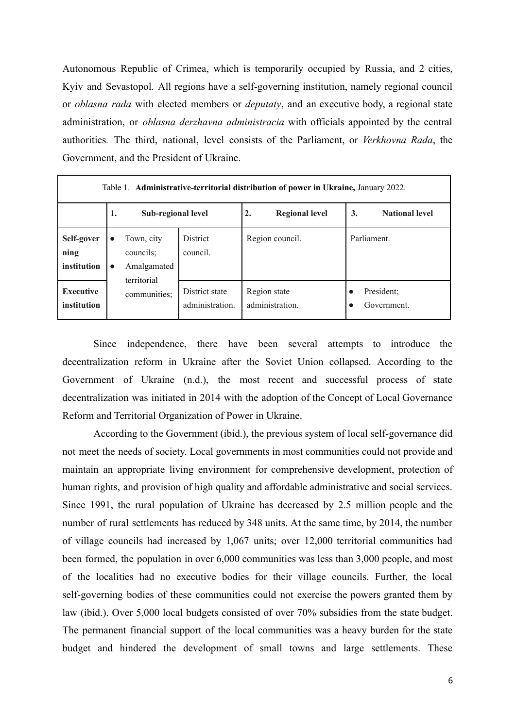Autonomous Republic of Crimea, which is temporarily occupied by Russia, and 2 cities, Kyiv and Sevastopol. All regions have a self-governing institution, namely regional council or *oblasna rada* with elected members or *deputaty*, and an executive body, a regional state administration, or *oblasna derzhavna administracia* with officials appointed by the central authorities*.* The third, national, level consists of the Parliament, or *Verkhovna Rada*, the Government, and the President of Ukraine.

| Table 1. <b>Administrative-territorial distribution of power in Ukraine, January 2022.</b> |                        |                                                       |                                   |                                 |                             |  |
|--------------------------------------------------------------------------------------------|------------------------|-------------------------------------------------------|-----------------------------------|---------------------------------|-----------------------------|--|
|                                                                                            | 1.                     | Sub-regional level                                    |                                   | <b>Regional level</b><br>2.     | <b>National level</b><br>3. |  |
| Self-gover<br>ning<br>institution                                                          | $\bullet$<br>$\bullet$ | Town, city<br>councils;<br>Amalgamated<br>territorial | District<br>council.              | Region council.                 | Parliament.                 |  |
| <b>Executive</b><br>institution                                                            |                        | communities;                                          | District state<br>administration. | Region state<br>administration. | President;<br>Government.   |  |

Since independence, there have been several attempts to introduce the decentralization reform in Ukraine after the Soviet Union collapsed. According to the Government of Ukraine (n.d.), the most recent and successful process of state decentralization was initiated in 2014 with the adoption of the Concept of Local Governance Reform and Territorial Organization of Power in Ukraine.

According to the Government (ibid.), the previous system of local self-governance did not meet the needs of society. Local governments in most communities could not provide and maintain an appropriate living environment for comprehensive development, protection of human rights, and provision of high quality and affordable administrative and social services. Since 1991, the rural population of Ukraine has decreased by 2.5 million people and the number of rural settlements has reduced by 348 units. At the same time, by 2014, the number of village councils had increased by 1,067 units; over 12,000 territorial communities had been formed, the population in over 6,000 communities was less than 3,000 people, and most of the localities had no executive bodies for their village councils. Further, the local self-governing bodies of these communities could not exercise the powers granted them by law (ibid.). Over 5,000 local budgets consisted of over 70% subsidies from the state budget. The permanent financial support of the local communities was a heavy burden for the state budget and hindered the development of small towns and large settlements. These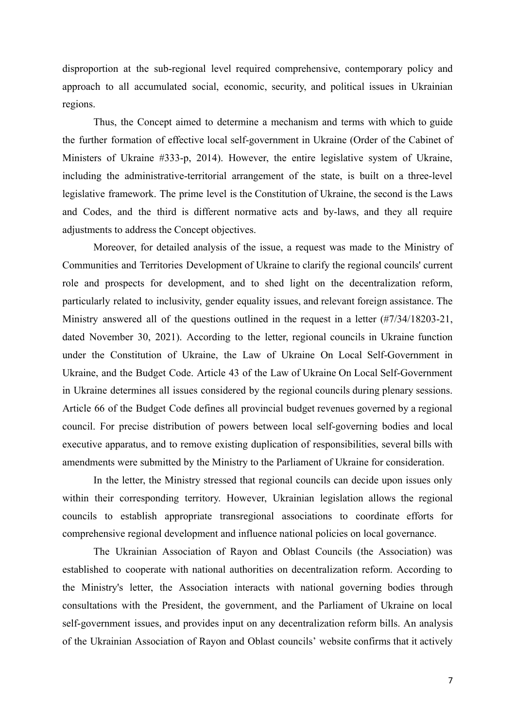disproportion at the sub-regional level required comprehensive, contemporary policy and approach to all accumulated social, economic, security, and political issues in Ukrainian regions.

Thus, the Concept aimed to determine a mechanism and terms with which to guide the further formation of effective local self-government in Ukraine (Order of the Cabinet of Ministers of Ukraine #333-p, 2014). However, the entire legislative system of Ukraine, including the administrative-territorial arrangement of the state, is built on a three-level legislative framework. The prime level is the Constitution of Ukraine, the second is the Laws and Codes, and the third is different normative acts and by-laws, and they all require adjustments to address the Concept objectives.

Moreover, for detailed analysis of the issue, a request was made to the Ministry of Communities and Territories Development of Ukraine to clarify the regional councils' current role and prospects for development, and to shed light on the decentralization reform, particularly related to inclusivity, gender equality issues, and relevant foreign assistance. The Ministry answered all of the questions outlined in the request in a letter (#7/34/18203-21, dated November 30, 2021). According to the letter, regional councils in Ukraine function under the Constitution of Ukraine, the Law of Ukraine On Local Self-Government in Ukraine, and the Budget Code. Article 43 of the Law of Ukraine On Local Self-Government in Ukraine determines all issues considered by the regional councils during plenary sessions. Article 66 of the Budget Code defines all provincial budget revenues governed by a regional council. For precise distribution of powers between local self-governing bodies and local executive apparatus, and to remove existing duplication of responsibilities, several bills with amendments were submitted by the Ministry to the Parliament of Ukraine for consideration.

In the letter, the Ministry stressed that regional councils can decide upon issues only within their corresponding territory. However, Ukrainian legislation allows the regional councils to establish appropriate transregional associations to coordinate efforts for comprehensive regional development and influence national policies on local governance.

The Ukrainian Association of Rayon and Oblast Councils (the Association) was established to cooperate with national authorities on decentralization reform. According to the Ministry's letter, the Association interacts with national governing bodies through consultations with the President, the government, and the Parliament of Ukraine on local self-government issues, and provides input on any decentralization reform bills. An analysis of the Ukrainian Association of Rayon and Oblast councils' website confirms that it actively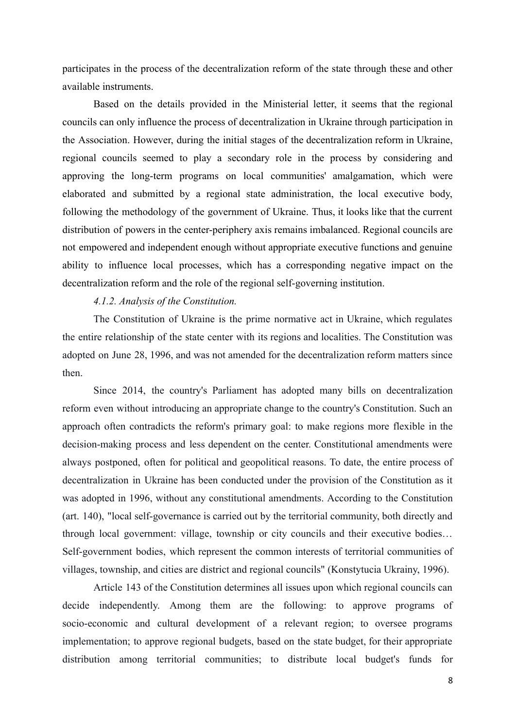participates in the process of the decentralization reform of the state through these and other available instruments.

Based on the details provided in the Ministerial letter, it seems that the regional councils can only influence the process of decentralization in Ukraine through participation in the Association. However, during the initial stages of the decentralization reform in Ukraine, regional councils seemed to play a secondary role in the process by considering and approving the long-term programs on local communities' amalgamation, which were elaborated and submitted by a regional state administration, the local executive body, following the methodology of the government of Ukraine. Thus, it looks like that the current distribution of powers in the center-periphery axis remains imbalanced. Regional councils are not empowered and independent enough without appropriate executive functions and genuine ability to influence local processes, which has a corresponding negative impact on the decentralization reform and the role of the regional self-governing institution.

# *4.1.2. Analysis of the Constitution.*

The Constitution of Ukraine is the prime normative act in Ukraine, which regulates the entire relationship of the state center with its regions and localities. The Constitution was adopted on June 28, 1996, and was not amended for the decentralization reform matters since then.

Since 2014, the country's Parliament has adopted many bills on decentralization reform even without introducing an appropriate change to the country's Constitution. Such an approach often contradicts the reform's primary goal: to make regions more flexible in the decision-making process and less dependent on the center. Constitutional amendments were always postponed, often for political and geopolitical reasons. To date, the entire process of decentralization in Ukraine has been conducted under the provision of the Constitution as it was adopted in 1996, without any constitutional amendments. According to the Constitution (art. 140), "local self-governance is carried out by the territorial community, both directly and through local government: village, township or city councils and their executive bodies… Self-government bodies, which represent the common interests of territorial communities of villages, township, and cities are district and regional councils" (Konstytucia Ukrainy, 1996).

Article 143 of the Constitution determines all issues upon which regional councils can decide independently. Among them are the following: to approve programs of socio-economic and cultural development of a relevant region; to oversee programs implementation; to approve regional budgets, based on the state budget, for their appropriate distribution among territorial communities; to distribute local budget's funds for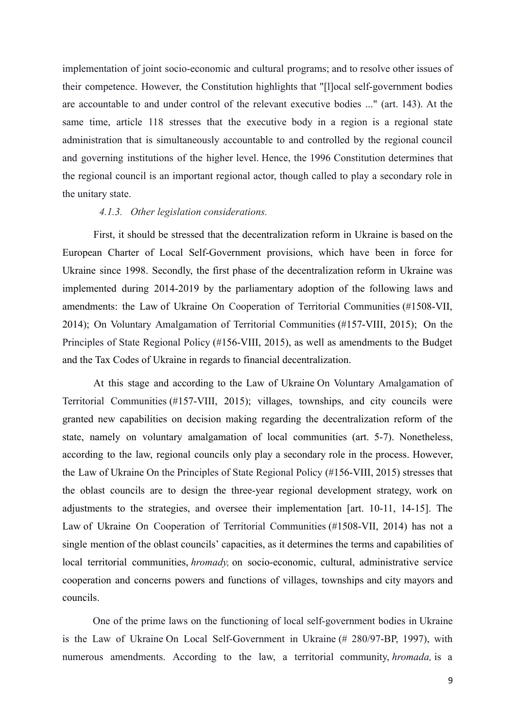implementation of joint socio-economic and cultural programs; and to resolve other issues of their competence. However, the Constitution highlights that "[l]ocal self-government bodies are accountable to and under control of the relevant executive bodies ..." (art. 143). At the same time, article 118 stresses that the executive body in a region is a regional state administration that is simultaneously accountable to and controlled by the regional council and governing institutions of the higher level. Hence, the 1996 Constitution determines that the regional council is an important regional actor, though called to play a secondary role in the unitary state.

# *4.1.3. Other legislation considerations.*

First, it should be stressed that the decentralization reform in Ukraine is based on the European Charter of Local Self-Government provisions, which have been in force for Ukraine since 1998. Secondly, the first phase of the decentralization reform in Ukraine was implemented during 2014-2019 by the parliamentary adoption of the following laws and amendments: the Law of Ukraine On Cooperation of Territorial Communities (#1508-VII, 2014); On Voluntary Amalgamation of Territorial Communities (#157-VIII, 2015); On the Principles of State Regional Policy (#156-VIII, 2015), as well as amendments to the Budget and the Tax Codes of Ukraine in regards to financial decentralization.

At this stage and according to the Law of Ukraine On Voluntary Amalgamation of Territorial Communities (#157-VIII, 2015); villages, townships, and city councils were granted new capabilities on decision making regarding the decentralization reform of the state, namely on voluntary amalgamation of local communities (art. 5-7). Nonetheless, according to the law, regional councils only play a secondary role in the process. However, the Law of Ukraine On the Principles of State Regional Policy (#156-VIII, 2015) stresses that the oblast councils are to design the three-year regional development strategy, work on adjustments to the strategies, and oversee their implementation [art. 10-11, 14-15]. The Law of Ukraine On Cooperation of Territorial Communities (#1508-VII, 2014) has not a single mention of the oblast councils' capacities, as it determines the terms and capabilities of local territorial communities, *hromady,* on socio-economic, cultural, administrative service cooperation and concerns powers and functions of villages, townships and city mayors and councils.

One of the prime laws on the functioning of local self-government bodies in Ukraine is the Law of Ukraine On Local Self-Government in Ukraine (# 280/97-BP, 1997), with numerous amendments. According to the law, a territorial community, *hromada,* is a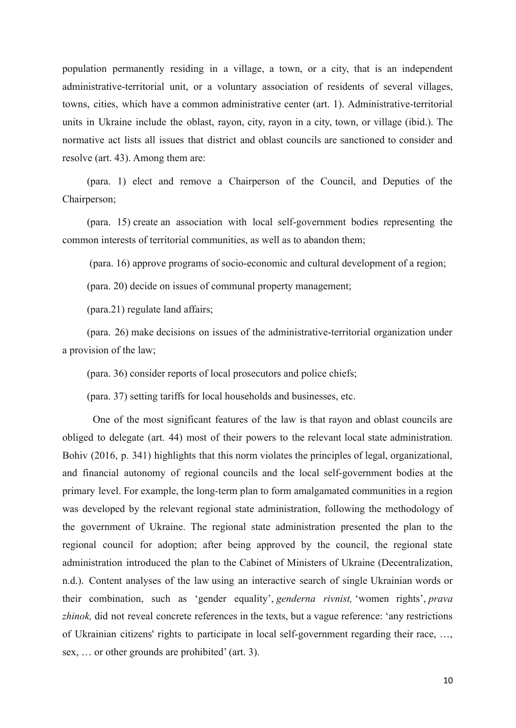population permanently residing in a village, a town, or a city, that is an independent administrative-territorial unit, or a voluntary association of residents of several villages, towns, cities, which have a common administrative center (art. 1). Administrative-territorial units in Ukraine include the oblast, rayon, city, rayon in a city, town, or village (ibid.). The normative act lists all issues that district and oblast councils are sanctioned to consider and resolve (art. 43). Among them are:

(para. 1) elect and remove a Chairperson of the Council, and Deputies of the Chairperson;

(para. 15) create an association with local self-government bodies representing the common interests of territorial communities, as well as to abandon them;

(para. 16) approve programs of socio-economic and cultural development of a region;

(para. 20) decide on issues of communal property management;

(para.21) regulate land affairs;

(para. 26) make decisions on issues of the administrative-territorial organization under a provision of the law;

(para. 36) consider reports of local prosecutors and police chiefs;

(para. 37) setting tariffs for local households and businesses, etc.

One of the most significant features of the law is that rayon and oblast councils are obliged to delegate (art. 44) most of their powers to the relevant local state administration. Bohiv (2016, p. 341) highlights that this norm violates the principles of legal, organizational, and financial autonomy of regional councils and the local self-government bodies at the primary level. For example, the long-term plan to form amalgamated communities in a region was developed by the relevant regional state administration, following the methodology of the government of Ukraine. The regional state administration presented the plan to the regional council for adoption; after being approved by the council, the regional state administration introduced the plan to the Cabinet of Ministers of Ukraine (Decentralization, n.d.). Content analyses of the law using an interactive search of single Ukrainian words or their combination, such as 'gender equality', *genderna rivnist,* 'women rights', *prava zhinok,* did not reveal concrete references in the texts, but a vague reference: 'any restrictions of Ukrainian citizens' rights to participate in local self-government regarding their race, …, sex, … or other grounds are prohibited' (art. 3).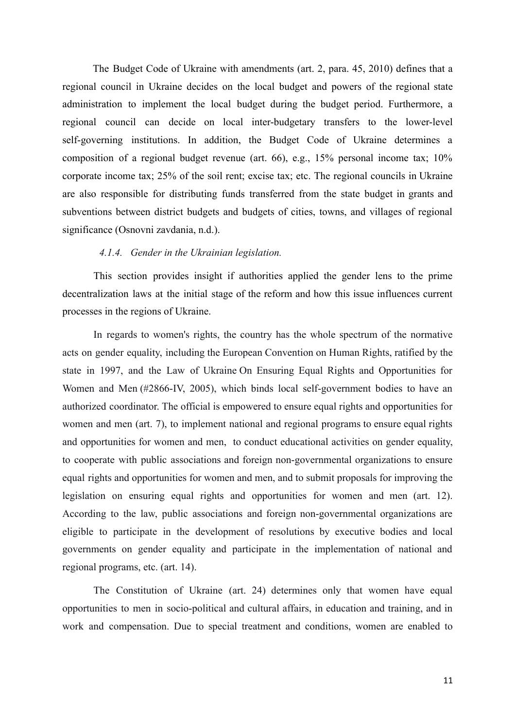The Budget Code of Ukraine with amendments (art. 2, para. 45, 2010) defines that a regional council in Ukraine decides on the local budget and powers of the regional state administration to implement the local budget during the budget period. Furthermore, a regional council can decide on local inter-budgetary transfers to the lower-level self-governing institutions. In addition, the Budget Code of Ukraine determines a composition of a regional budget revenue (art. 66), e.g., 15% personal income tax; 10% corporate income tax; 25% of the soil rent; excise tax; etc. The regional councils in Ukraine are also responsible for distributing funds transferred from the state budget in grants and subventions between district budgets and budgets of cities, towns, and villages of regional significance (Osnovni zavdania, n.d.).

# *4.1.4. Gender in the Ukrainian legislation.*

This section provides insight if authorities applied the gender lens to the prime decentralization laws at the initial stage of the reform and how this issue influences current processes in the regions of Ukraine.

In regards to women's rights, the country has the whole spectrum of the normative acts on gender equality, including the European Convention on Human Rights, ratified by the state in 1997, and the Law of Ukraine On Ensuring Equal Rights and Opportunities for Women and Men (#2866-IV, 2005), which binds local self-government bodies to have an authorized coordinator. The official is empowered to ensure equal rights and opportunities for women and men (art. 7), to implement national and regional programs to ensure equal rights and opportunities for women and men, to conduct educational activities on gender equality, to cooperate with public associations and foreign non-governmental organizations to ensure equal rights and opportunities for women and men, and to submit proposals for improving the legislation on ensuring equal rights and opportunities for women and men (art. 12). According to the law, public associations and foreign non-governmental organizations are eligible to participate in the development of resolutions by executive bodies and local governments on gender equality and participate in the implementation of national and regional programs, etc. (art. 14).

The Constitution of Ukraine (art. 24) determines only that women have equal opportunities to men in socio-political and cultural affairs, in education and training, and in work and compensation. Due to special treatment and conditions, women are enabled to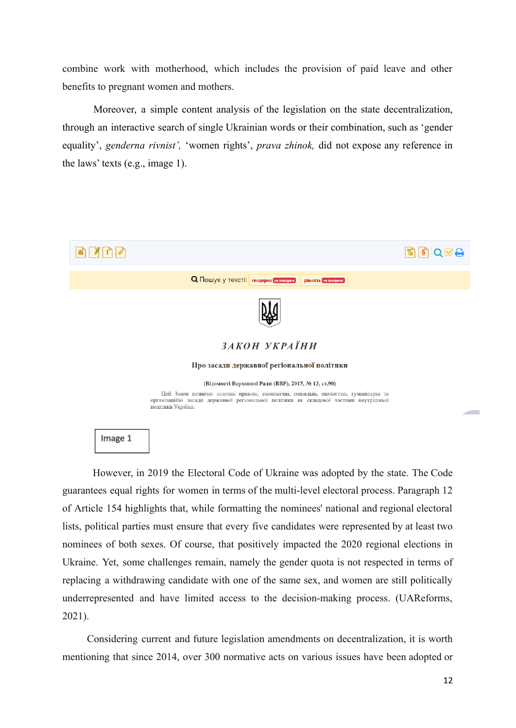combine work with motherhood, which includes the provision of paid leave and other benefits to pregnant women and mothers.

Moreover, a simple content analysis of the legislation on the state decentralization, through an interactive search of single Ukrainian words or their combination, such as 'gender equality', *genderna rivnist',* 'women rights', *prava zhinok,* did not expose any reference in the laws' texts (e.g., image 1).



Image 1

However, in 2019 the Electoral Code of Ukraine was adopted by the state. The Code guarantees equal rights for women in terms of the multi-level electoral process. Paragraph 12 of Article 154 highlights that, while formatting the nominees' national and regional electoral lists, political parties must ensure that every five candidates were represented by at least two nominees of both sexes. Of course, that positively impacted the 2020 regional elections in Ukraine. Yet, some challenges remain, namely the gender quota is not respected in terms of replacing a withdrawing candidate with one of the same sex, and women are still politically underrepresented and have limited access to the decision-making process. (UAReforms, 2021).

Considering current and future legislation amendments on decentralization, it is worth mentioning that since 2014, over 300 normative acts on various issues have been adopted or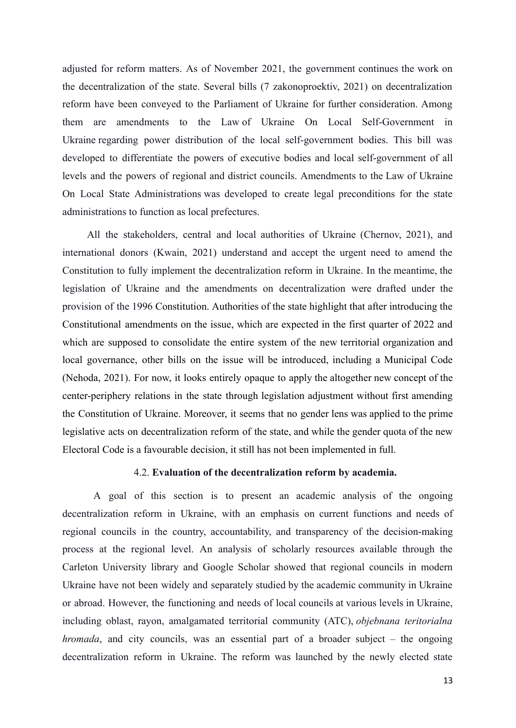adjusted for reform matters. As of November 2021, the government continues the work on the decentralization of the state. Several bills (7 zakonoproektiv, 2021) on decentralization reform have been conveyed to the Parliament of Ukraine for further consideration. Among them are amendments to the Law of Ukraine On Local Self-Government in Ukraine regarding power distribution of the local self-government bodies. This bill was developed to differentiate the powers of executive bodies and local self-government of all levels and the powers of regional and district councils. Amendments to the Law of Ukraine On Local State Administrations was developed to create legal preconditions for the state administrations to function as local prefectures.

All the stakeholders, central and local authorities of Ukraine (Chernov, 2021), and international donors (Kwain, 2021) understand and accept the urgent need to amend the Constitution to fully implement the decentralization reform in Ukraine. In the meantime, the legislation of Ukraine and the amendments on decentralization were drafted under the provision of the 1996 Constitution. Authorities of the state highlight that after introducing the Constitutional amendments on the issue, which are expected in the first quarter of 2022 and which are supposed to consolidate the entire system of the new territorial organization and local governance, other bills on the issue will be introduced, including a Municipal Code (Nehoda, 2021). For now, it looks entirely opaque to apply the altogether new concept of the center-periphery relations in the state through legislation adjustment without first amending the Constitution of Ukraine. Moreover, it seems that no gender lens was applied to the prime legislative acts on decentralization reform of the state, and while the gender quota of the new Electoral Code is a favourable decision, it still has not been implemented in full.

# 4.2. **Evaluation of the decentralization reform by academia.**

A goal of this section is to present an academic analysis of the ongoing decentralization reform in Ukraine, with an emphasis on current functions and needs of regional councils in the country, accountability, and transparency of the decision-making process at the regional level. An analysis of scholarly resources available through the Carleton University library and Google Scholar showed that regional councils in modern Ukraine have not been widely and separately studied by the academic community in Ukraine or abroad. However, the functioning and needs of local councils at various levels in Ukraine, including oblast, rayon, amalgamated territorial community (ATC), *objebnana teritorialna hromada*, and city councils, was an essential part of a broader subject – the ongoing decentralization reform in Ukraine. The reform was launched by the newly elected state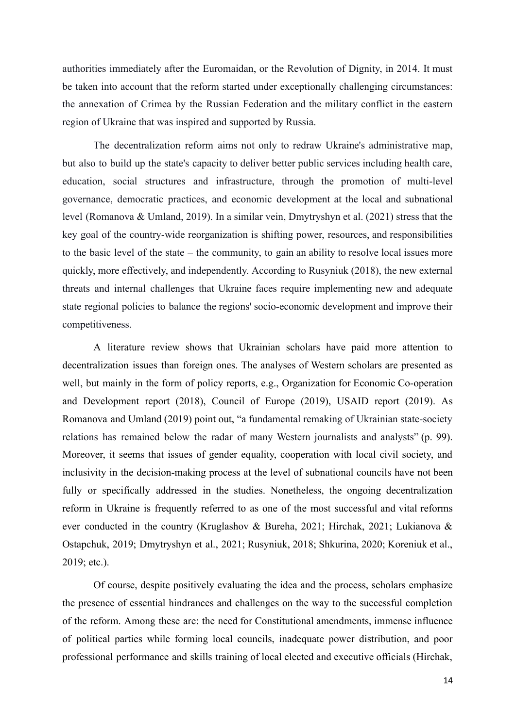authorities immediately after the Euromaidan, or the Revolution of Dignity, in 2014. It must be taken into account that the reform started under exceptionally challenging circumstances: the annexation of Crimea by the Russian Federation and the military conflict in the eastern region of Ukraine that was inspired and supported by Russia.

The decentralization reform aims not only to redraw Ukraine's administrative map, but also to build up the state's capacity to deliver better public services including health care, education, social structures and infrastructure, through the promotion of multi-level governance, democratic practices, and economic development at the local and subnational level (Romanova & Umland, 2019). In a similar vein, Dmytryshyn et al. (2021) stress that the key goal of the country-wide reorganization is shifting power, resources, and responsibilities to the basic level of the state – the community, to gain an ability to resolve local issues more quickly, more effectively, and independently. According to Rusyniuk (2018), the new external threats and internal challenges that Ukraine faces require implementing new and adequate state regional policies to balance the regions' socio-economic development and improve their competitiveness.

A literature review shows that Ukrainian scholars have paid more attention to decentralization issues than foreign ones. The analyses of Western scholars are presented as well, but mainly in the form of policy reports, e.g., Organization for Economic Co-operation and Development report (2018), Council of Europe (2019), USAID report (2019). As Romanova and Umland (2019) point out, "a fundamental remaking of Ukrainian state-society relations has remained below the radar of many Western journalists and analysts" (p. 99). Moreover, it seems that issues of gender equality, cooperation with local civil society, and inclusivity in the decision-making process at the level of subnational councils have not been fully or specifically addressed in the studies. Nonetheless, the ongoing decentralization reform in Ukraine is frequently referred to as one of the most successful and vital reforms ever conducted in the country (Kruglashov & Bureha, 2021; Hirchak, 2021; Lukianova & Ostapchuk, 2019; Dmytryshyn et al., 2021; Rusyniuk, 2018; Shkurina, 2020; Koreniuk et al., 2019; etc.).

Of course, despite positively evaluating the idea and the process, scholars emphasize the presence of essential hindrances and challenges on the way to the successful completion of the reform. Among these are: the need for Constitutional amendments, immense influence of political parties while forming local councils, inadequate power distribution, and poor professional performance and skills training of local elected and executive officials (Hirchak,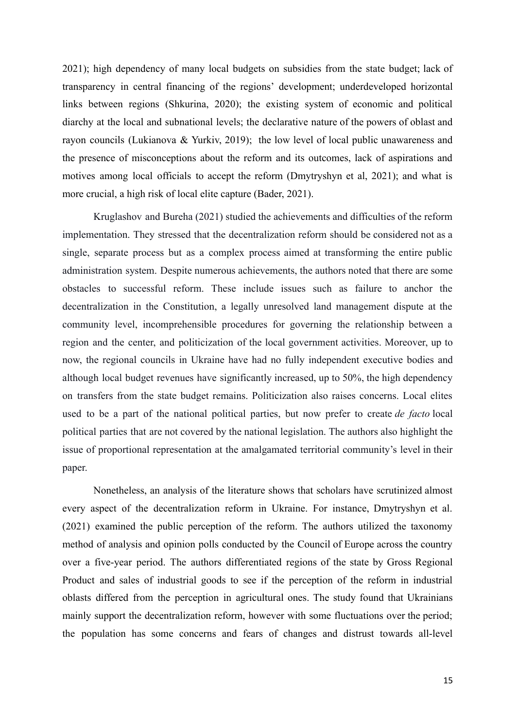2021); high dependency of many local budgets on subsidies from the state budget; lack of transparency in central financing of the regions' development; underdeveloped horizontal links between regions (Shkurina, 2020); the existing system of economic and political diarchy at the local and subnational levels; the declarative nature of the powers of oblast and rayon councils (Lukianova & Yurkiv, 2019); the low level of local public unawareness and the presence of misconceptions about the reform and its outcomes, lack of aspirations and motives among local officials to accept the reform (Dmytryshyn et al, 2021); and what is more crucial, a high risk of local elite capture (Bader, 2021).

Kruglashov and Bureha (2021) studied the achievements and difficulties of the reform implementation. They stressed that the decentralization reform should be considered not as a single, separate process but as a complex process aimed at transforming the entire public administration system. Despite numerous achievements, the authors noted that there are some obstacles to successful reform. These include issues such as failure to anchor the decentralization in the Constitution, a legally unresolved land management dispute at the community level, incomprehensible procedures for governing the relationship between a region and the center, and politicization of the local government activities. Moreover, up to now, the regional councils in Ukraine have had no fully independent executive bodies and although local budget revenues have significantly increased, up to 50%, the high dependency on transfers from the state budget remains. Politicization also raises concerns. Local elites used to be a part of the national political parties, but now prefer to create *de facto* local political parties that are not covered by the national legislation. The authors also highlight the issue of proportional representation at the amalgamated territorial community's level in their paper.

Nonetheless, an analysis of the literature shows that scholars have scrutinized almost every aspect of the decentralization reform in Ukraine. For instance, Dmytryshyn et al. (2021) examined the public perception of the reform. The authors utilized the taxonomy method of analysis and opinion polls conducted by the Council of Europe across the country over a five-year period. The authors differentiated regions of the state by Gross Regional Product and sales of industrial goods to see if the perception of the reform in industrial oblasts differed from the perception in agricultural ones. The study found that Ukrainians mainly support the decentralization reform, however with some fluctuations over the period; the population has some concerns and fears of changes and distrust towards all-level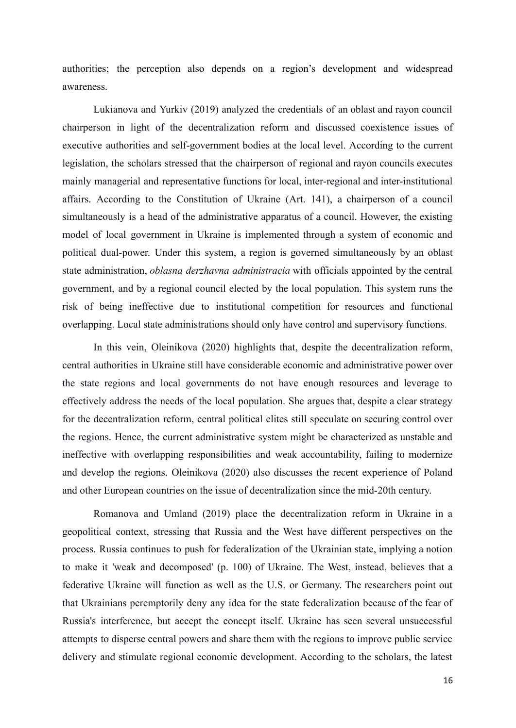authorities; the perception also depends on a region's development and widespread awareness.

Lukianova and Yurkiv (2019) analyzed the credentials of an oblast and rayon council chairperson in light of the decentralization reform and discussed coexistence issues of executive authorities and self-government bodies at the local level. According to the current legislation, the scholars stressed that the chairperson of regional and rayon councils executes mainly managerial and representative functions for local, inter-regional and inter-institutional affairs. According to the Constitution of Ukraine (Art. 141), a chairperson of a council simultaneously is a head of the administrative apparatus of a council. However, the existing model of local government in Ukraine is implemented through a system of economic and political dual-power. Under this system, a region is governed simultaneously by an oblast state administration, *oblasna derzhavna administracia* with officials appointed by the central government, and by a regional council elected by the local population. This system runs the risk of being ineffective due to institutional competition for resources and functional overlapping. Local state administrations should only have control and supervisory functions.

In this vein, Oleinikova (2020) highlights that, despite the decentralization reform, central authorities in Ukraine still have considerable economic and administrative power over the state regions and local governments do not have enough resources and leverage to effectively address the needs of the local population. She argues that, despite a clear strategy for the decentralization reform, central political elites still speculate on securing control over the regions. Hence, the current administrative system might be characterized as unstable and ineffective with overlapping responsibilities and weak accountability, failing to modernize and develop the regions. Oleinikova (2020) also discusses the recent experience of Poland and other European countries on the issue of decentralization since the mid-20th century.

Romanova and Umland (2019) place the decentralization reform in Ukraine in a geopolitical context, stressing that Russia and the West have different perspectives on the process. Russia continues to push for federalization of the Ukrainian state, implying a notion to make it 'weak and decomposed' (p. 100) of Ukraine. The West, instead, believes that a federative Ukraine will function as well as the U.S. or Germany. The researchers point out that Ukrainians peremptorily deny any idea for the state federalization because of the fear of Russia's interference, but accept the concept itself. Ukraine has seen several unsuccessful attempts to disperse central powers and share them with the regions to improve public service delivery and stimulate regional economic development. According to the scholars, the latest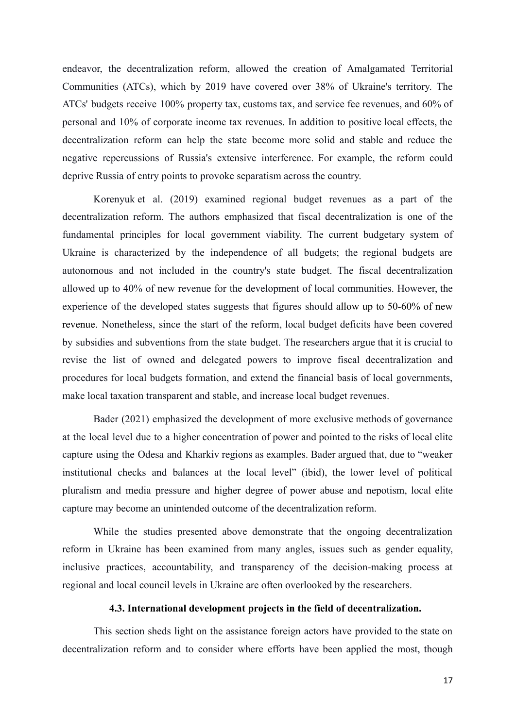endeavor, the decentralization reform, allowed the creation of Amalgamated Territorial Communities (ATCs), which by 2019 have covered over 38% of Ukraine's territory. The ATCs' budgets receive 100% property tax, customs tax, and service fee revenues, and 60% of personal and 10% of corporate income tax revenues. In addition to positive local effects, the decentralization reform can help the state become more solid and stable and reduce the negative repercussions of Russia's extensive interference. For example, the reform could deprive Russia of entry points to provoke separatism across the country.

Korenyuk et al. (2019) examined regional budget revenues as a part of the decentralization reform. The authors emphasized that fiscal decentralization is one of the fundamental principles for local government viability. The current budgetary system of Ukraine is characterized by the independence of all budgets; the regional budgets are autonomous and not included in the country's state budget. The fiscal decentralization allowed up to 40% of new revenue for the development of local communities. However, the experience of the developed states suggests that figures should allow up to 50-60% of new revenue. Nonetheless, since the start of the reform, local budget deficits have been covered by subsidies and subventions from the state budget. The researchers argue that it is crucial to revise the list of owned and delegated powers to improve fiscal decentralization and procedures for local budgets formation, and extend the financial basis of local governments, make local taxation transparent and stable, and increase local budget revenues.

Bader (2021) emphasized the development of more exclusive methods of governance at the local level due to a higher concentration of power and pointed to the risks of local elite capture using the Odesa and Kharkiv regions as examples. Bader argued that, due to "weaker institutional checks and balances at the local level" (ibid), the lower level of political pluralism and media pressure and higher degree of power abuse and nepotism, local elite capture may become an unintended outcome of the decentralization reform.

While the studies presented above demonstrate that the ongoing decentralization reform in Ukraine has been examined from many angles, issues such as gender equality, inclusive practices, accountability, and transparency of the decision-making process at regional and local council levels in Ukraine are often overlooked by the researchers.

# **4.3. International development projects in the field of decentralization.**

This section sheds light on the assistance foreign actors have provided to the state on decentralization reform and to consider where efforts have been applied the most, though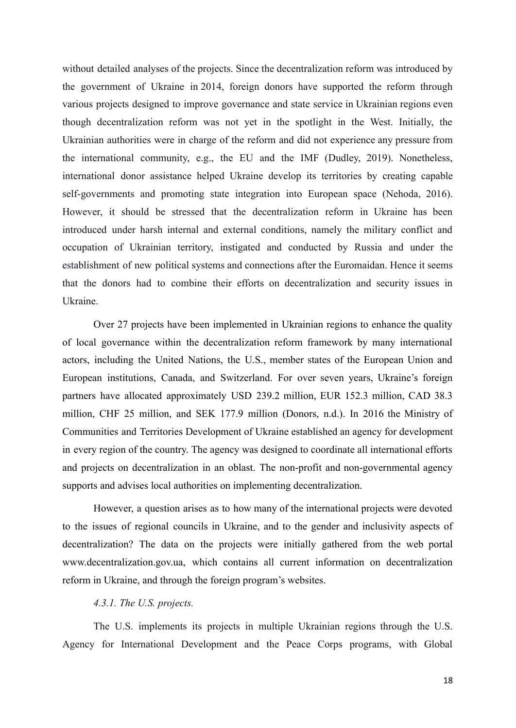without detailed analyses of the projects. Since the decentralization reform was introduced by the government of Ukraine in 2014, foreign donors have supported the reform through various projects designed to improve governance and state service in Ukrainian regions even though decentralization reform was not yet in the spotlight in the West. Initially, the Ukrainian authorities were in charge of the reform and did not experience any pressure from the international community, e.g., the EU and the IMF (Dudley, 2019). Nonetheless, international donor assistance helped Ukraine develop its territories by creating capable self-governments and promoting state integration into European space (Nehoda, 2016). However, it should be stressed that the decentralization reform in Ukraine has been introduced under harsh internal and external conditions, namely the military conflict and occupation of Ukrainian territory, instigated and conducted by Russia and under the establishment of new political systems and connections after the Euromaidan. Hence it seems that the donors had to combine their efforts on decentralization and security issues in Ukraine.

Over 27 projects have been implemented in Ukrainian regions to enhance the quality of local governance within the decentralization reform framework by many international actors, including the United Nations, the U.S., member states of the European Union and European institutions, Canada, and Switzerland. For over seven years, Ukraine's foreign partners have allocated approximately USD 239.2 million, EUR 152.3 million, CAD 38.3 million, CHF 25 million, and SEK 177.9 million (Donors, n.d.). In 2016 the Ministry of Communities and Territories Development of Ukraine established an agency for development in every region of the country. The agency was designed to coordinate all international efforts and projects on decentralization in an oblast. The non-profit and non-governmental agency supports and advises local authorities on implementing decentralization.

However, a question arises as to how many of the international projects were devoted to the issues of regional councils in Ukraine, and to the gender and inclusivity aspects of decentralization? The data on the projects were initially gathered from the web portal www.decentralization.gov.ua, which contains all current information on decentralization reform in Ukraine, and through the foreign program's websites.

# *4.3.1. The U.S. projects.*

The U.S. implements its projects in multiple Ukrainian regions through the U.S. Agency for International Development and the Peace Corps programs, with Global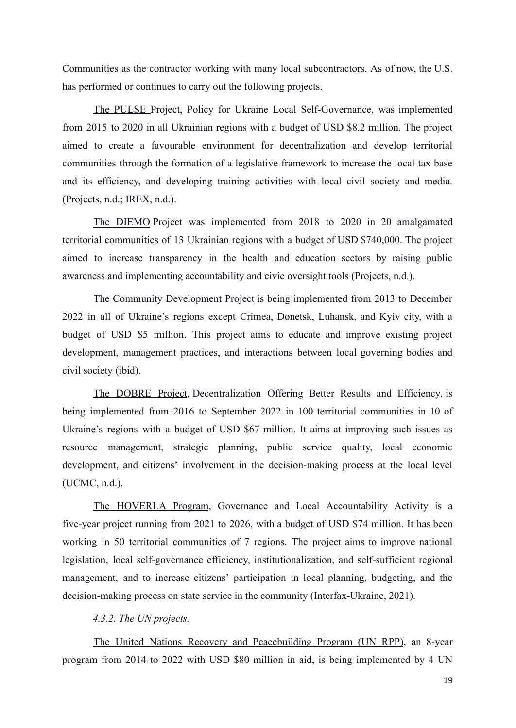Communities as the contractor working with many local subcontractors. As of now, the U.S. has performed or continues to carry out the following projects.

The PULSE Project, Policy for Ukraine Local Self-Governance, was implemented from 2015 to 2020 in all Ukrainian regions with a budget of USD \$8.2 million. The project aimed to create a favourable environment for decentralization and develop territorial communities through the formation of a legislative framework to increase the local tax base and its efficiency, and developing training activities with local civil society and media. (Projects, n.d.; IREX, n.d.).

The DIEMO Project was implemented from 2018 to 2020 in 20 amalgamated territorial communities of 13 Ukrainian regions with a budget of USD \$740,000. The project aimed to increase transparency in the health and education sectors by raising public awareness and implementing accountability and civic oversight tools (Projects, n.d.).

The Community Development Project is being implemented from 2013 to December 2022 in all of Ukraine's regions except Crimea, Donetsk, Luhansk, and Kyiv city, with a budget of USD \$5 million. This project aims to educate and improve existing project development, management practices, and interactions between local governing bodies and civil society (ibid).

The DOBRE Project, Decentralization Offering Better Results and Efficiency*,* is being implemented from 2016 to September 2022 in 100 territorial communities in 10 of Ukraine's regions with a budget of USD \$67 million. It aims at improving such issues as resource management, strategic planning, public service quality, local economic development, and citizens' involvement in the decision-making process at the local level (UCMC, n.d.).

The HOVERLA Program, Governance and Local Accountability Activity is a five-year project running from 2021 to 2026, with a budget of USD \$74 million. It has been working in 50 territorial communities of 7 regions. The project aims to improve national legislation, local self-governance efficiency, institutionalization, and self-sufficient regional management, and to increase citizens' participation in local planning, budgeting, and the decision-making process on state service in the community (Interfax-Ukraine, 2021).

# *4.3.2. The UN projects.*

The United Nations Recovery and Peacebuilding Program (UN RPP), an 8-year program from 2014 to 2022 with USD \$80 million in aid, is being implemented by 4 UN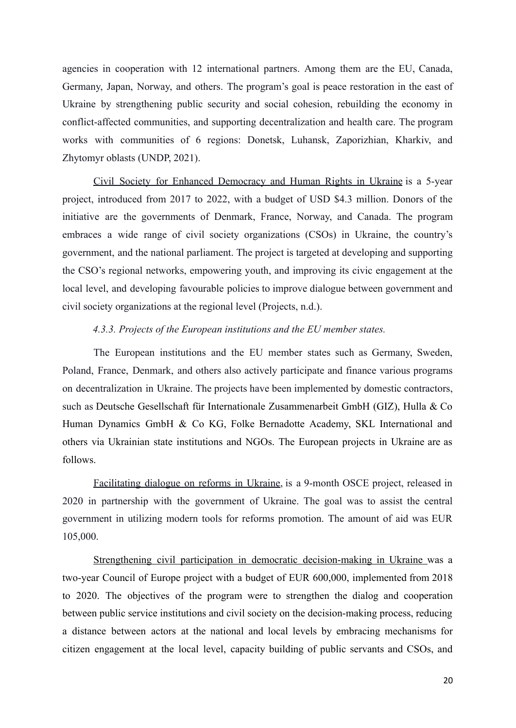agencies in cooperation with 12 international partners. Among them are the EU, Canada, Germany, Japan, Norway, and others. The program's goal is peace restoration in the east of Ukraine by strengthening public security and social cohesion, rebuilding the economy in conflict-affected communities, and supporting decentralization and health care. The program works with communities of 6 regions: Donetsk, Luhansk, Zaporizhian, Kharkiv, and Zhytomyr oblasts (UNDP, 2021).

Civil Society for Enhanced Democracy and Human Rights in Ukraine is a 5-year project, introduced from 2017 to 2022, with a budget of USD \$4.3 million. Donors of the initiative are the governments of Denmark, France, Norway, and Canada. The program embraces a wide range of civil society organizations (CSOs) in Ukraine, the country's government, and the national parliament. The project is targeted at developing and supporting the CSO's regional networks, empowering youth, and improving its civic engagement at the local level, and developing favourable policies to improve dialogue between government and civil society organizations at the regional level (Projects, n.d.).

# *4.3.3. Projects of the European institutions and the EU member states.*

The European institutions and the EU member states such as Germany, Sweden, Poland, France, Denmark, and others also actively participate and finance various programs on decentralization in Ukraine. The projects have been implemented by domestic contractors, such as Deutsche Gesellschaft für Internationale Zusammenarbeit GmbH (GIZ), Hulla & Co Human Dynamics GmbH & Co KG, Folke Bernadotte Academy, SKL International and others via Ukrainian state institutions and NGOs. The European projects in Ukraine are as follows.

Facilitating dialogue on reforms in Ukraine, is a 9-month OSCE project, released in 2020 in partnership with the government of Ukraine. The goal was to assist the central government in utilizing modern tools for reforms promotion. The amount of aid was EUR 105,000.

Strengthening civil participation in democratic decision-making in Ukraine was a two-year Council of Europe project with a budget of EUR 600,000, implemented from 2018 to 2020. The objectives of the program were to strengthen the dialog and cooperation between public service institutions and civil society on the decision-making process, reducing a distance between actors at the national and local levels by embracing mechanisms for citizen engagement at the local level, capacity building of public servants and CSOs, and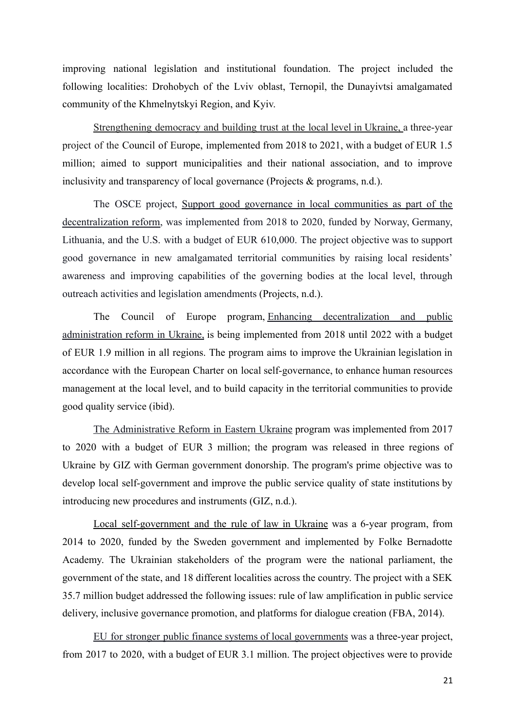improving national legislation and institutional foundation. The project included the following localities: Drohobych of the Lviv oblast, Ternopil, the Dunayivtsi amalgamated community of the Khmelnytskyi Region, and Kyiv.

Strengthening democracy and building trust at the local level in Ukraine, a three-year project of the Council of Europe, implemented from 2018 to 2021, with a budget of EUR 1.5 million; aimed to support municipalities and their national association, and to improve inclusivity and transparency of local governance (Projects & programs, n.d.).

The OSCE project, Support good governance in local communities as part of the decentralization reform, was implemented from 2018 to 2020, funded by Norway, Germany, Lithuania, and the U.S. with a budget of EUR 610,000. The project objective was to support good governance in new amalgamated territorial communities by raising local residents' awareness and improving capabilities of the governing bodies at the local level, through outreach activities and legislation amendments (Projects, n.d.).

The Council of Europe program, Enhancing decentralization and public administration reform in Ukraine, is being implemented from 2018 until 2022 with a budget of EUR 1.9 million in all regions. The program aims to improve the Ukrainian legislation in accordance with the European Charter on local self-governance, to enhance human resources management at the local level, and to build capacity in the territorial communities to provide good quality service (ibid).

The Administrative Reform in Eastern Ukraine program was implemented from 2017 to 2020 with a budget of EUR 3 million; the program was released in three regions of Ukraine by GIZ with German government donorship. The program's prime objective was to develop local self-government and improve the public service quality of state institutions by introducing new procedures and instruments (GIZ, n.d.).

Local self-government and the rule of law in Ukraine was a 6-year program, from 2014 to 2020, funded by the Sweden government and implemented by Folke Bernadotte Academy. The Ukrainian stakeholders of the program were the national parliament, the government of the state, and 18 different localities across the country. The project with a SEK 35.7 million budget addressed the following issues: rule of law amplification in public service delivery, inclusive governance promotion, and platforms for dialogue creation (FBA, 2014).

EU for stronger public finance systems of local governments was a three-year project, from 2017 to 2020, with a budget of EUR 3.1 million. The project objectives were to provide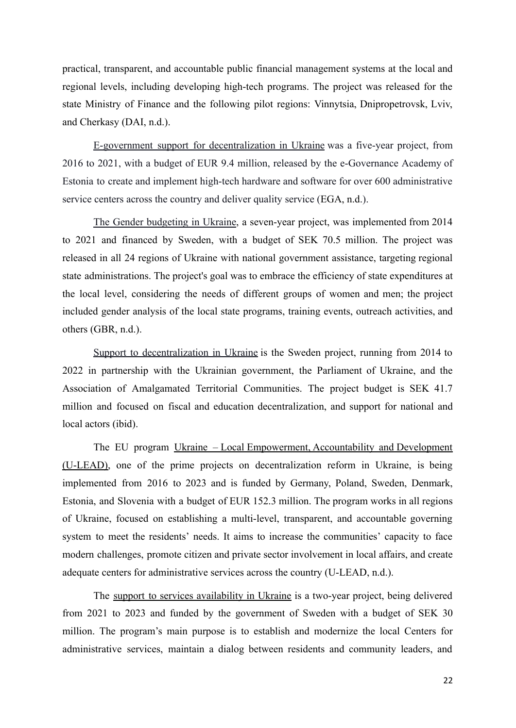practical, transparent, and accountable public financial management systems at the local and regional levels, including developing high-tech programs. The project was released for the state Ministry of Finance and the following pilot regions: Vinnytsia, Dnipropetrovsk, Lviv, and Cherkasy (DAI, n.d.).

E-government support for decentralization in Ukraine was a five-year project, from 2016 to 2021, with a budget of EUR 9.4 million, released by the e-Governance Academy of Estonia to create and implement high-tech hardware and software for over 600 administrative service centers across the country and deliver quality service (EGA, n.d.).

The Gender budgeting in Ukraine, a seven-year project, was implemented from 2014 to 2021 and financed by Sweden, with a budget of SEK 70.5 million. The project was released in all 24 regions of Ukraine with national government assistance, targeting regional state administrations. The project's goal was to embrace the efficiency of state expenditures at the local level, considering the needs of different groups of women and men; the project included gender analysis of the local state programs, training events, outreach activities, and others (GBR, n.d.).

Support to decentralization in Ukraine is the Sweden project, running from 2014 to 2022 in partnership with the Ukrainian government, the Parliament of Ukraine, and the Association of Amalgamated Territorial Communities. The project budget is SEK 41.7 million and focused on fiscal and education decentralization, and support for national and local actors (ibid).

The EU program Ukraine – Local Empowerment, Accountability and Development (U-LEAD), one of the prime projects on decentralization reform in Ukraine, is being implemented from 2016 to 2023 and is funded by Germany, Poland, Sweden, Denmark, Estonia, and Slovenia with a budget of EUR 152.3 million. The program works in all regions of Ukraine, focused on establishing a multi-level, transparent, and accountable governing system to meet the residents' needs. It aims to increase the communities' capacity to face modern challenges, promote citizen and private sector involvement in local affairs, and create adequate centers for administrative services across the country (U-LEAD, n.d.).

The support to services availability in Ukraine is a two-year project, being delivered from 2021 to 2023 and funded by the government of Sweden with a budget of SEK 30 million. The program's main purpose is to establish and modernize the local Centers for administrative services, maintain a dialog between residents and community leaders, and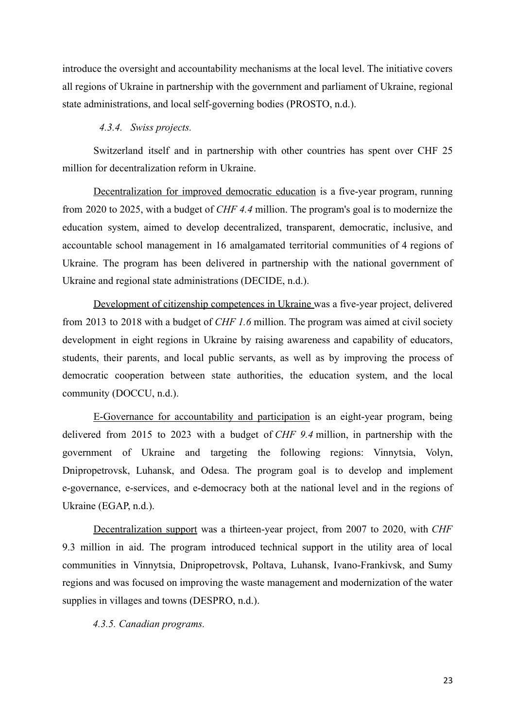introduce the oversight and accountability mechanisms at the local level. The initiative covers all regions of Ukraine in partnership with the government and parliament of Ukraine, regional state administrations, and local self-governing bodies (PROSTO, n.d.).

# *4.3.4. Swiss projects.*

Switzerland itself and in partnership with other countries has spent over CHF 25 million for decentralization reform in Ukraine.

Decentralization for improved democratic education is a five-year program, running from 2020 to 2025, with a budget of *CHF 4.4* million. The program's goal is to modernize the education system, aimed to develop decentralized, transparent, democratic, inclusive, and accountable school management in 16 amalgamated territorial communities of 4 regions of Ukraine. The program has been delivered in partnership with the national government of Ukraine and regional state administrations (DECIDE, n.d.).

Development of citizenship competences in Ukraine was a five-year project, delivered from 2013 to 2018 with a budget of *CHF 1.6* million. The program was aimed at civil society development in eight regions in Ukraine by raising awareness and capability of educators, students, their parents, and local public servants, as well as by improving the process of democratic cooperation between state authorities, the education system, and the local community (DOCCU, n.d.).

E-Governance for accountability and participation is an eight-year program, being delivered from 2015 to 2023 with a budget of *CHF 9.4* million, in partnership with the government of Ukraine and targeting the following regions: Vinnytsia, Volyn, Dnipropetrovsk, Luhansk, and Odesa. The program goal is to develop and implement e-governance, e-services, and e-democracy both at the national level and in the regions of Ukraine (EGAP, n.d.).

Decentralization support was a thirteen-year project, from 2007 to 2020, with *CHF* 9.3 million in aid. The program introduced technical support in the utility area of local communities in Vinnytsia, Dnipropetrovsk, Poltava, Luhansk, Ivano-Frankivsk, and Sumy regions and was focused on improving the waste management and modernization of the water supplies in villages and towns (DESPRO, n.d.).

*4.3.5. Canadian programs.*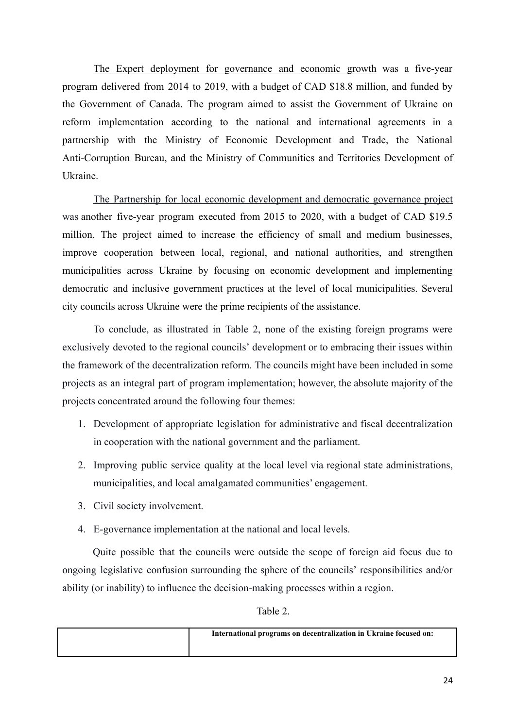The Expert deployment for governance and economic growth was a five-year program delivered from 2014 to 2019, with a budget of CAD \$18.8 million, and funded by the Government of Canada. The program aimed to assist the Government of Ukraine on reform implementation according to the national and international agreements in a partnership with the Ministry of Economic Development and Trade, the National Anti-Corruption Bureau, and the Ministry of Communities and Territories Development of Ukraine.

The Partnership for local economic development and democratic governance project was another five-year program executed from 2015 to 2020, with a budget of CAD \$19.5 million. The project aimed to increase the efficiency of small and medium businesses, improve cooperation between local, regional, and national authorities, and strengthen municipalities across Ukraine by focusing on economic development and implementing democratic and inclusive government practices at the level of local municipalities. Several city councils across Ukraine were the prime recipients of the assistance.

To conclude, as illustrated in Table 2, none of the existing foreign programs were exclusively devoted to the regional councils' development or to embracing their issues within the framework of the decentralization reform. The councils might have been included in some projects as an integral part of program implementation; however, the absolute majority of the projects concentrated around the following four themes:

- 1. Development of appropriate legislation for administrative and fiscal decentralization in cooperation with the national government and the parliament.
- 2. Improving public service quality at the local level via regional state administrations, municipalities, and local amalgamated communities' engagement.
- 3. Civil society involvement.
- 4. E-governance implementation at the national and local levels.

Quite possible that the councils were outside the scope of foreign aid focus due to ongoing legislative confusion surrounding the sphere of the councils' responsibilities and/or ability (or inability) to influence the decision-making processes within a region.

Table 2.

| International programs on decentralization in Ukraine focused on: |
|-------------------------------------------------------------------|
|                                                                   |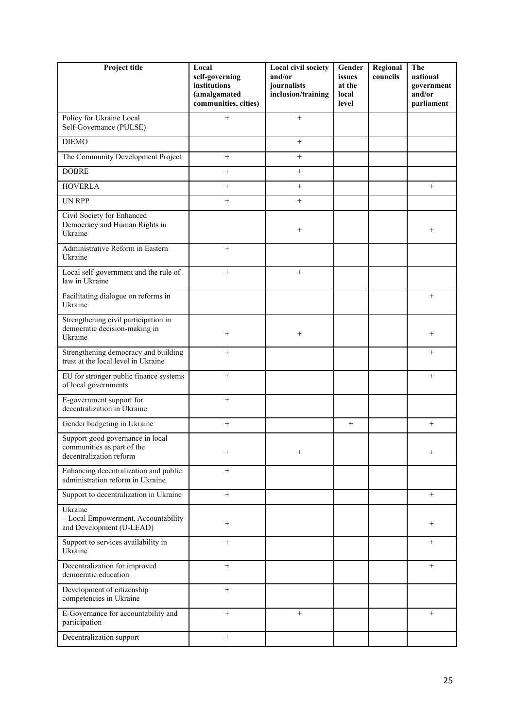| Project title                                                                             | Local<br>self-governing<br>institutions<br>(amalgamated<br>communities, cities) | <b>Local civil society</b><br>and/or<br>journalists<br>inclusion/training | Gender<br>issues<br>at the<br>local<br>level | Regional<br>councils | The<br>national<br>government<br>and/or<br>parliament |
|-------------------------------------------------------------------------------------------|---------------------------------------------------------------------------------|---------------------------------------------------------------------------|----------------------------------------------|----------------------|-------------------------------------------------------|
| Policy for Ukraine Local<br>Self-Governance (PULSE)                                       | $+$                                                                             | $^{+}$                                                                    |                                              |                      |                                                       |
| <b>DIEMO</b>                                                                              |                                                                                 | $^{+}$                                                                    |                                              |                      |                                                       |
| The Community Development Project                                                         | $^{+}$                                                                          | $^{+}$                                                                    |                                              |                      |                                                       |
| <b>DOBRE</b>                                                                              | $^{+}$                                                                          | $^{+}$                                                                    |                                              |                      |                                                       |
| <b>HOVERLA</b>                                                                            | $^+$                                                                            | $^+$                                                                      |                                              |                      | $\! +$                                                |
| <b>UN RPP</b>                                                                             | $^{+}$                                                                          | $^{+}$                                                                    |                                              |                      |                                                       |
| Civil Society for Enhanced<br>Democracy and Human Rights in<br>Ukraine                    |                                                                                 | $+$                                                                       |                                              |                      | $^{+}$                                                |
| Administrative Reform in Eastern<br>Ukraine                                               | $^{+}$                                                                          |                                                                           |                                              |                      |                                                       |
| Local self-government and the rule of<br>law in Ukraine                                   | $^{+}$                                                                          | $^{+}$                                                                    |                                              |                      |                                                       |
| Facilitating dialogue on reforms in<br>Ukraine                                            |                                                                                 |                                                                           |                                              |                      | $^{+}$                                                |
| Strengthening civil participation in<br>democratic decision-making in<br>Ukraine          | $^{+}$                                                                          | $+$                                                                       |                                              |                      | $^{+}$                                                |
| Strengthening democracy and building<br>trust at the local level in Ukraine               | $^{+}$                                                                          |                                                                           |                                              |                      | $^{+}$                                                |
| EU for stronger public finance systems<br>of local governments                            | $^{+}$                                                                          |                                                                           |                                              |                      | $^{+}$                                                |
| E-government support for<br>decentralization in Ukraine                                   | $^{+}$                                                                          |                                                                           |                                              |                      |                                                       |
| Gender budgeting in Ukraine                                                               | $^{+}$                                                                          |                                                                           | $\qquad \qquad +$                            |                      | $^{+}$                                                |
| Support good governance in local<br>communities as part of the<br>decentralization reform | $^{+}$                                                                          | $^{+}$                                                                    |                                              |                      | $^{+}$                                                |
| Enhancing decentralization and public<br>administration reform in Ukraine                 | $^{+}$                                                                          |                                                                           |                                              |                      |                                                       |
| Support to decentralization in Ukraine                                                    | $+$                                                                             |                                                                           |                                              |                      | $+$                                                   |
| Ukraine<br>- Local Empowerment, Accountability<br>and Development (U-LEAD)                | $^{+}$                                                                          |                                                                           |                                              |                      | $^{+}$                                                |
| Support to services availability in<br>Ukraine                                            | $^{+}$                                                                          |                                                                           |                                              |                      | $^{+}$                                                |
| Decentralization for improved<br>democratic education                                     | $^{+}$                                                                          |                                                                           |                                              |                      | $^{+}$                                                |
| Development of citizenship<br>competencies in Ukraine                                     | $^{+}$                                                                          |                                                                           |                                              |                      |                                                       |
| E-Governance for accountability and<br>participation                                      | $^{+}$                                                                          | $^{+}$                                                                    |                                              |                      | $^{+}$                                                |
| Decentralization support                                                                  | $^{+}$                                                                          |                                                                           |                                              |                      |                                                       |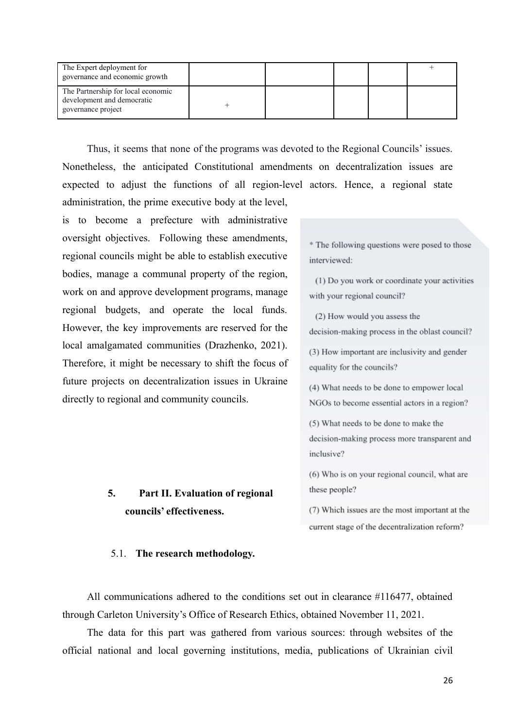| The Expert deployment for<br>governance and economic growth                            |  |  |  |
|----------------------------------------------------------------------------------------|--|--|--|
| The Partnership for local economic<br>development and democratic<br>governance project |  |  |  |

Thus, it seems that none of the programs was devoted to the Regional Councils' issues. Nonetheless, the anticipated Constitutional amendments on decentralization issues are expected to adjust the functions of all region-level actors. Hence, a regional state administration, the prime executive body at the level,

is to become a prefecture with administrative oversight objectives. Following these amendments, regional councils might be able to establish executive bodies, manage a communal property of the region, work on and approve development programs, manage regional budgets, and operate the local funds. However, the key improvements are reserved for the local amalgamated communities (Drazhenko, 2021). Therefore, it might be necessary to shift the focus of future projects on decentralization issues in Ukraine directly to regional and community councils.

# **5. Part II. Evaluation of regional councils' effectiveness.**

\* The following questions were posed to those interviewed:

(1) Do you work or coordinate your activities with your regional council?

(2) How would you assess the

decision-making process in the oblast council?

(3) How important are inclusivity and gender equality for the councils?

(4) What needs to be done to empower local NGOs to become essential actors in a region?

(5) What needs to be done to make the decision-making process more transparent and inclusive?

(6) Who is on your regional council, what are these people?

(7) Which issues are the most important at the current stage of the decentralization reform?

# 5.1. **The research methodology.**

All communications adhered to the conditions set out in clearance #116477, obtained through Carleton University's Office of Research Ethics, obtained November 11, 2021.

The data for this part was gathered from various sources: through websites of the official national and local governing institutions, media, publications of Ukrainian civil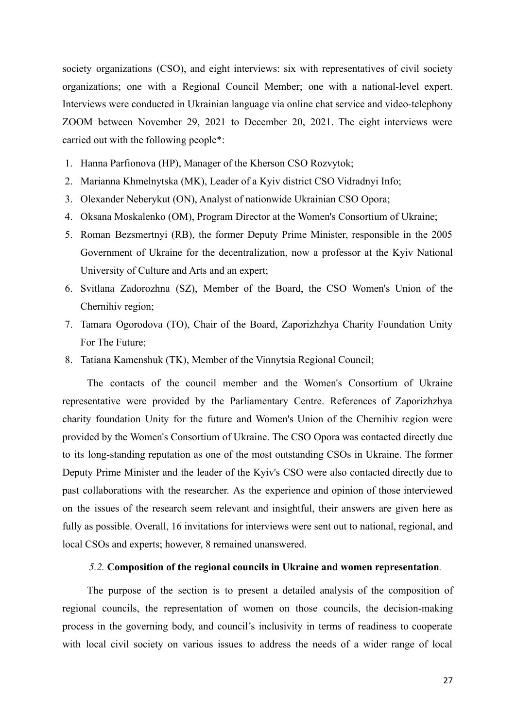society organizations (CSO), and eight interviews: six with representatives of civil society organizations; one with a Regional Council Member; one with a national-level expert. Interviews were conducted in Ukrainian language via online chat service and video-telephony ZOOM between November 29, 2021 to December 20, 2021. The eight interviews were carried out with the following people\*:

- 1. Hanna Parfionova (HP), Manager of the Kherson CSO Rozvytok;
- 2. Marianna Khmelnytska (MK), Leader of a Kyiv district CSO Vidradnyi Info;
- 3. Olexander Neberykut (ON), Analyst of nationwide Ukrainian CSO Opora;
- 4. Oksana Moskalenko (OM), Program Director at the Women's Consortium of Ukraine;
- 5. Roman Bezsmertnyi (RB), the former Deputy Prime Minister, responsible in the 2005 Government of Ukraine for the decentralization, now a professor at the Kyiv National University of Culture and Arts and an expert;
- 6. Svitlana Zadorozhna (SZ), Member of the Board, the CSO Women's Union of the Chernihiv region;
- 7. Tamara Ogorodova (TO), Chair of the Board, Zaporizhzhya Charity Foundation Unity For The Future;
- 8. Tatiana Kamenshuk (TK), Member of the Vinnytsia Regional Council;

The contacts of the council member and the Women's Consortium of Ukraine representative were provided by the Parliamentary Centre. References of Zaporizhzhya charity foundation Unity for the future and Women's Union of the Chernihiv region were provided by the Women's Consortium of Ukraine. The CSO Opora was contacted directly due to its long-standing reputation as one of the most outstanding CSOs in Ukraine. The former Deputy Prime Minister and the leader of the Kyiv's CSO were also contacted directly due to past collaborations with the researcher. As the experience and opinion of those interviewed on the issues of the research seem relevant and insightful, their answers are given here as fully as possible. Overall, 16 invitations for interviews were sent out to national, regional, and local CSOs and experts; however, 8 remained unanswered.

# *5.2.* **Composition of the regional councils in Ukraine and women representation***.*

The purpose of the section is to present a detailed analysis of the composition of regional councils, the representation of women on those councils, the decision-making process in the governing body, and council's inclusivity in terms of readiness to cooperate with local civil society on various issues to address the needs of a wider range of local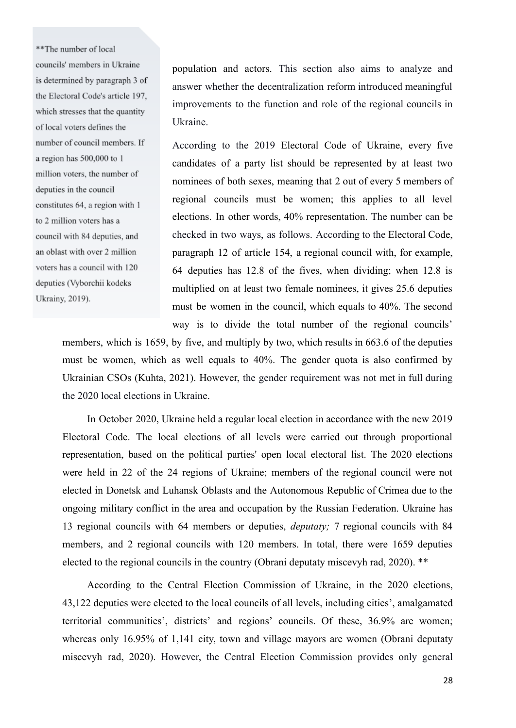\*\*The number of local councils' members in Ukraine is determined by paragraph 3 of the Electoral Code's article 197, which stresses that the quantity of local voters defines the number of council members. If a region has 500,000 to 1 million voters, the number of deputies in the council constitutes 64, a region with 1 to 2 million voters has a council with 84 deputies, and an oblast with over 2 million voters has a council with 120 deputies (Vyborchii kodeks Ukrainy, 2019).

population and actors. This section also aims to analyze and answer whether the decentralization reform introduced meaningful improvements to the function and role of the regional councils in Ukraine.

According to the 2019 Electoral Code of Ukraine, every five candidates of a party list should be represented by at least two nominees of both sexes, meaning that 2 out of every 5 members of regional councils must be women; this applies to all level elections. In other words, 40% representation. The number can be checked in two ways, as follows. According to the Electoral Code, paragraph 12 of article 154, a regional council with, for example, 64 deputies has 12.8 of the fives, when dividing; when 12.8 is multiplied on at least two female nominees, it gives 25.6 deputies must be women in the council, which equals to 40%. The second way is to divide the total number of the regional councils'

members, which is 1659, by five, and multiply by two, which results in 663.6 of the deputies must be women, which as well equals to 40%. The gender quota is also confirmed by Ukrainian CSOs (Kuhta, 2021). However, the gender requirement was not met in full during the 2020 local elections in Ukraine.

In October 2020, Ukraine held a regular local election in accordance with the new 2019 Electoral Code. The local elections of all levels were carried out through proportional representation, based on the political parties' open local electoral list. The 2020 elections were held in 22 of the 24 regions of Ukraine; members of the regional council were not elected in Donetsk and Luhansk Oblasts and the Autonomous Republic of Crimea due to the ongoing military conflict in the area and occupation by the Russian Federation. Ukraine has 13 regional councils with 64 members or deputies, *deputaty;* 7 regional councils with 84 members, and 2 regional councils with 120 members. In total, there were 1659 deputies elected to the regional councils in the country (Obrani deputaty miscevyh rad, 2020). \*\*

According to the Central Election Commission of Ukraine, in the 2020 elections, 43,122 deputies were elected to the local councils of all levels, including cities', amalgamated territorial communities', districts' and regions' councils. Of these, 36.9% are women; whereas only 16.95% of 1,141 city, town and village mayors are women (Obrani deputaty miscevyh rad, 2020). However, the Central Election Commission provides only general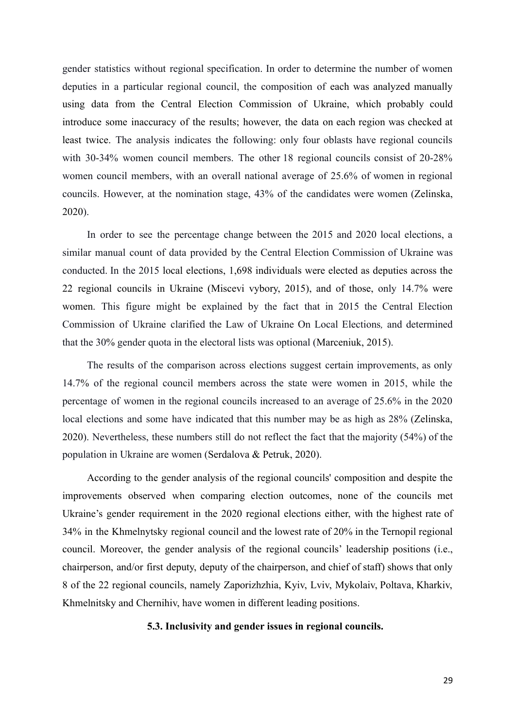gender statistics without regional specification. In order to determine the number of women deputies in a particular regional council, the composition of each was analyzed manually using data from the Central Election Commission of Ukraine, which probably could introduce some inaccuracy of the results; however, the data on each region was checked at least twice. The analysis indicates the following: only four oblasts have regional councils with 30-34% women council members. The other 18 regional councils consist of 20-28% women council members, with an overall national average of 25.6% of women in regional councils. However, at the nomination stage, 43% of the candidates were women (Zelinska, 2020).

In order to see the percentage change between the 2015 and 2020 local elections, a similar manual count of data provided by the Central Election Commission of Ukraine was conducted. In the 2015 local elections, 1,698 individuals were elected as deputies across the 22 regional councils in Ukraine (Miscevi vybory, 2015), and of those, only 14.7% were women. This figure might be explained by the fact that in 2015 the Central Election Commission of Ukraine clarified the Law of Ukraine On Local Elections*,* and determined that the 30% gender quota in the electoral lists was optional (Marceniuk, 2015).

The results of the comparison across elections suggest certain improvements, as only 14.7% of the regional council members across the state were women in 2015, while the percentage of women in the regional councils increased to an average of 25.6% in the 2020 local elections and some have indicated that this number may be as high as 28% (Zelinska, 2020). Nevertheless, these numbers still do not reflect the fact that the majority (54%) of the population in Ukraine are women (Serdalova & Petruk, 2020).

According to the gender analysis of the regional councils' composition and despite the improvements observed when comparing election outcomes, none of the councils met Ukraine's gender requirement in the 2020 regional elections either, with the highest rate of 34% in the Khmelnytsky regional council and the lowest rate of 20% in the Ternopil regional council. Moreover, the gender analysis of the regional councils' leadership positions (i.e., chairperson, and/or first deputy, deputy of the chairperson, and chief of staff) shows that only 8 of the 22 regional councils, namely Zaporizhzhia, Kyiv, Lviv, Mykolaiv, Poltava, Kharkiv, Khmelnitsky and Chernihiv, have women in different leading positions.

### **5.3. Inclusivity and gender issues in regional councils.**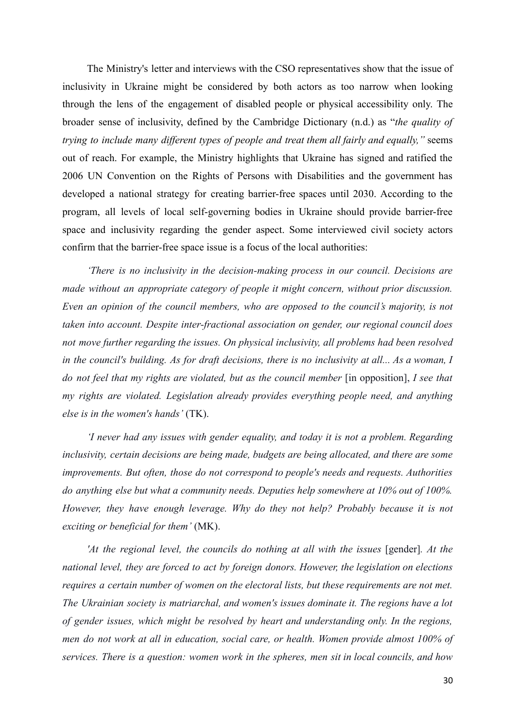The Ministry's letter and interviews with the CSO representatives show that the issue of inclusivity in Ukraine might be considered by both actors as too narrow when looking through the lens of the engagement of disabled people or physical accessibility only. The broader sense of inclusivity, defined by the Cambridge Dictionary (n.d.) as "*the quality of trying to include many different types of people and treat them all fairly and equally,"* seems out of reach. For example, the Ministry highlights that Ukraine has signed and ratified the 2006 UN Convention on the Rights of Persons with Disabilities and the government has developed a national strategy for creating barrier-free spaces until 2030. According to the program, all levels of local self-governing bodies in Ukraine should provide barrier-free space and inclusivity regarding the gender aspect. Some interviewed civil society actors confirm that the barrier-free space issue is a focus of the local authorities:

*'There is no inclusivity in the decision-making process in our council. Decisions are made without an appropriate category of people it might concern, without prior discussion. Even an opinion of the council members, who are opposed to the council's majority, is not taken into account. Despite inter-fractional association on gender, our regional council does not move further regarding the issues. On physical inclusivity, all problems had been resolved in the council's building. As for draft decisions, there is no inclusivity at all... As a woman, I do not feel that my rights are violated, but as the council member* [in opposition], *I see that my rights are violated. Legislation already provides everything people need, and anything else is in the women's hands'* (TK).

*'I never had any issues with gender equality, and today it is not a problem. Regarding inclusivity, certain decisions are being made, budgets are being allocated, and there are some improvements. But often, those do not correspond to people's needs and requests. Authorities do anything else but what a community needs. Deputies help somewhere at 10% out of 100%. However, they have enough leverage. Why do they not help? Probably because it is not exciting or beneficial for them'* (MK).

*'At the regional level, the councils do nothing at all with the issues* [gender]*. At the national level, they are forced to act by foreign donors. However, the legislation on elections requires a certain number of women on the electoral lists, but these requirements are not met. The Ukrainian society is matriarchal, and women's issues dominate it. The regions have a lot of gender issues, which might be resolved by heart and understanding only. In the regions, men do not work at all in education, social care, or health. Women provide almost 100% of services. There is a question: women work in the spheres, men sit in local councils, and how*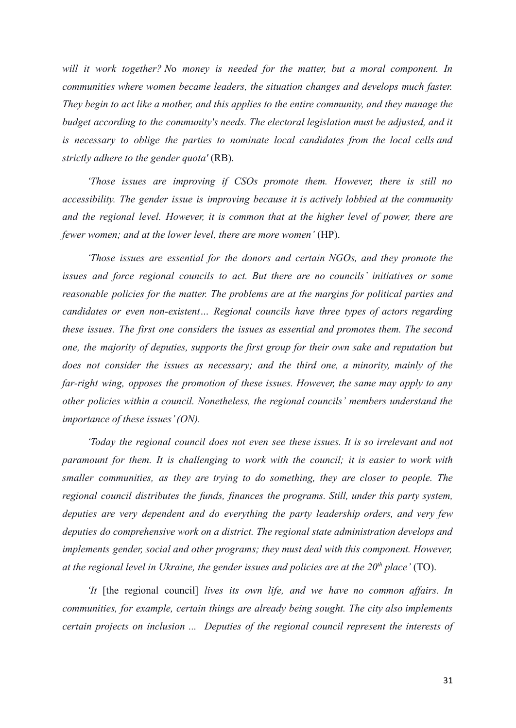*will it work together? N*o *money is needed for the matter, but a moral component. In communities where women became leaders, the situation changes and develops much faster. They begin to act like a mother, and this applies to the entire community, and they manage the budget according to the community's needs. The electoral legislation must be adjusted, and it is necessary to oblige the parties to nominate local candidates from the local cells and strictly adhere to the gender quota'* (RB).

*'Those issues are improving if CSOs promote them. However, there is still no accessibility. The gender issue is improving because it is actively lobbied at the community and the regional level. However, it is common that at the higher level of power, there are fewer women; and at the lower level, there are more women'* (HP).

*'Those issues are essential for the donors and certain NGOs, and they promote the issues and force regional councils to act. But there are no councils' initiatives or some reasonable policies for the matter. The problems are at the margins for political parties and candidates or even non-existent… Regional councils have three types of actors regarding these issues. The first one considers the issues as essential and promotes them. The second one, the majority of deputies, supports the first group for their own sake and reputation but does not consider the issues as necessary; and the third one, a minority, mainly of the far-right wing, opposes the promotion of these issues. However, the same may apply to any other policies within a council. Nonetheless, the regional councils' members understand the importance of these issues' (ON).*

*'Today the regional council does not even see these issues. It is so irrelevant and not paramount for them. It is challenging to work with the council; it is easier to work with smaller communities, as they are trying to do something, they are closer to people. The regional council distributes the funds, finances the programs. Still, under this party system, deputies are very dependent and do everything the party leadership orders, and very few deputies do comprehensive work on a district. The regional state administration develops and implements gender, social and other programs; they must deal with this component. However, at the regional level in Ukraine, the gender issues and policies are at the 20th place'* (TO).

*'It* [the regional council] *lives its own life, and we have no common affairs. In communities, for example, certain things are already being sought. The city also implements certain projects on inclusion ... Deputies of the regional council represent the interests of*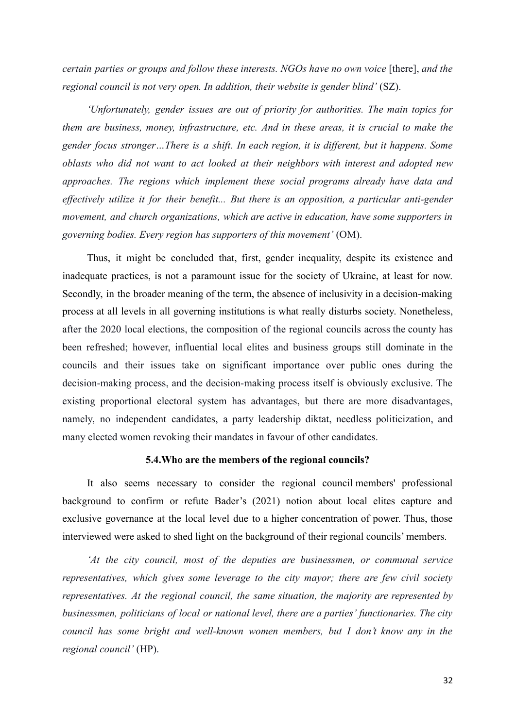*certain parties or groups and follow these interests. NGOs have no own voice* [there], *and the regional council is not very open. In addition, their website is gender blind'* (SZ).

*'Unfortunately, gender issues are out of priority for authorities. The main topics for them are business, money, infrastructure, etc. And in these areas, it is crucial to make the gender focus stronger…There is a shift. In each region, it is different, but it happens. Some oblasts who did not want to act looked at their neighbors with interest and adopted new approaches. The regions which implement these social programs already have data and effectively utilize it for their benefit... But there is an opposition, a particular anti-gender movement, and church organizations, which are active in education, have some supporters in governing bodies. Every region has supporters of this movement'* (OM).

Thus, it might be concluded that, first, gender inequality, despite its existence and inadequate practices, is not a paramount issue for the society of Ukraine, at least for now. Secondly, in the broader meaning of the term, the absence of inclusivity in a decision-making process at all levels in all governing institutions is what really disturbs society. Nonetheless, after the 2020 local elections, the composition of the regional councils across the county has been refreshed; however, influential local elites and business groups still dominate in the councils and their issues take on significant importance over public ones during the decision-making process, and the decision-making process itself is obviously exclusive. The existing proportional electoral system has advantages, but there are more disadvantages, namely, no independent candidates, a party leadership diktat, needless politicization, and many elected women revoking their mandates in favour of other candidates.

# **5.4.Who are the members of the regional councils?**

It also seems necessary to consider the regional council members' professional background to confirm or refute Bader's (2021) notion about local elites capture and exclusive governance at the local level due to a higher concentration of power. Thus, those interviewed were asked to shed light on the background of their regional councils' members.

*'At the city council, most of the deputies are businessmen, or communal service representatives, which gives some leverage to the city mayor; there are few civil society representatives. At the regional council, the same situation, the majority are represented by businessmen, politicians of local or national level, there are a parties' functionaries. The city council has some bright and well-known women members, but I don't know any in the regional council'* (HP).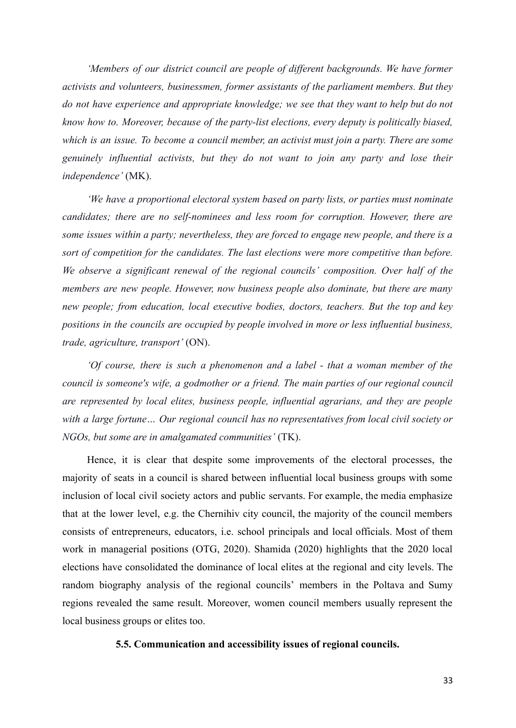*'Members of our district council are people of different backgrounds. We have former activists and volunteers, businessmen, former assistants of the parliament members. But they do not have experience and appropriate knowledge; we see that they want to help but do not know how to. Moreover, because of the party-list elections, every deputy is politically biased, which is an issue. To become a council member, an activist must join a party. There are some genuinely influential activists, but they do not want to join any party and lose their independence'* (MK).

*'We have a proportional electoral system based on party lists, or parties must nominate candidates; there are no self-nominees and less room for corruption. However, there are some issues within a party; nevertheless, they are forced to engage new people, and there is a sort of competition for the candidates. The last elections were more competitive than before. We observe a significant renewal of the regional councils' composition. Over half of the members are new people. However, now business people also dominate, but there are many new people; from education, local executive bodies, doctors, teachers. But the top and key positions in the councils are occupied by people involved in more or less influential business, trade, agriculture, transport'* (ON).

*'Of course, there is such a phenomenon and a label - that a woman member of the council is someone's wife, a godmother or a friend. The main parties of our regional council are represented by local elites, business people, influential agrarians, and they are people with a large fortune… Our regional council has no representatives from local civil society or NGOs, but some are in amalgamated communities'* (TK).

Hence, it is clear that despite some improvements of the electoral processes, the majority of seats in a council is shared between influential local business groups with some inclusion of local civil society actors and public servants. For example, the media emphasize that at the lower level, e.g. the Chernihiv city council, the majority of the council members consists of entrepreneurs, educators, i.e. school principals and local officials. Most of them work in managerial positions (OTG, 2020). Shamida (2020) highlights that the 2020 local elections have consolidated the dominance of local elites at the regional and city levels. The random biography analysis of the regional councils' members in the Poltava and Sumy regions revealed the same result. Moreover, women council members usually represent the local business groups or elites too.

# **5.5. Communication and accessibility issues of regional councils.**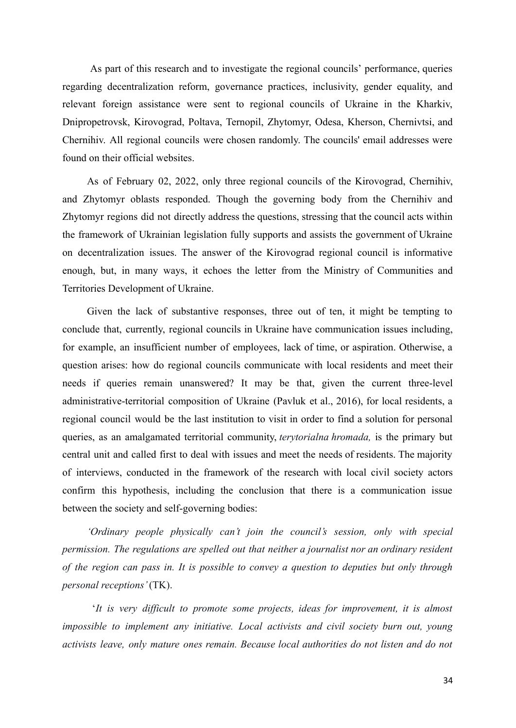As part of this research and to investigate the regional councils' performance, queries regarding decentralization reform, governance practices, inclusivity, gender equality, and relevant foreign assistance were sent to regional councils of Ukraine in the Kharkiv, Dnipropetrovsk, Kirovograd, Poltava, Ternopil, Zhytomyr, Odesa, Kherson, Chernivtsi, and Chernihiv. All regional councils were chosen randomly. The councils' email addresses were found on their official websites.

As of February 02, 2022, only three regional councils of the Kirovograd, Chernihiv, and Zhytomyr oblasts responded. Though the governing body from the Chernihiv and Zhytomyr regions did not directly address the questions, stressing that the council acts within the framework of Ukrainian legislation fully supports and assists the government of Ukraine on decentralization issues. The answer of the Kirovograd regional council is informative enough, but, in many ways, it echoes the letter from the Ministry of Communities and Territories Development of Ukraine.

Given the lack of substantive responses, three out of ten, it might be tempting to conclude that, currently, regional councils in Ukraine have communication issues including, for example, an insufficient number of employees, lack of time, or aspiration. Otherwise, a question arises: how do regional councils communicate with local residents and meet their needs if queries remain unanswered? It may be that, given the current three-level administrative-territorial composition of Ukraine (Pavluk et al., 2016), for local residents, a regional council would be the last institution to visit in order to find a solution for personal queries, as an amalgamated territorial community, *terytorialna hromada,* is the primary but central unit and called first to deal with issues and meet the needs of residents. The majority of interviews, conducted in the framework of the research with local civil society actors confirm this hypothesis, including the conclusion that there is a communication issue between the society and self-governing bodies:

*'Ordinary people physically can't join the council's session, only with special permission. The regulations are spelled out that neither a journalist nor an ordinary resident of the region can pass in. It is possible to convey a question to deputies but only through personal receptions'*(TK).

'*It is very difficult to promote some projects, ideas for improvement, it is almost impossible to implement any initiative. Local activists and civil society burn out, young activists leave, only mature ones remain. Because local authorities do not listen and do not*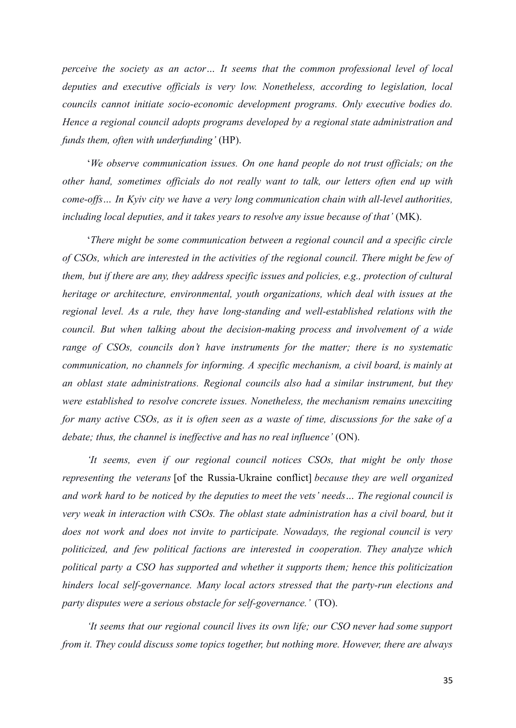*perceive the society as an actor… It seems that the common professional level of local deputies and executive officials is very low. Nonetheless, according to legislation, local councils cannot initiate socio-economic development programs. Only executive bodies do. Hence a regional council adopts programs developed by a regional state administration and funds them, often with underfunding'* (HP).

'*We observe communication issues. On one hand people do not trust officials; on the other hand, sometimes officials do not really want to talk, our letters often end up with come-offs… In Kyiv city we have a very long communication chain with all-level authorities, including local deputies, and it takes years to resolve any issue because of that'* (MK).

'*There might be some communication between a regional council and a specific circle of CSOs, which are interested in the activities of the regional council. There might be few of them, but if there are any, they address specific issues and policies, e.g., protection of cultural heritage or architecture, environmental, youth organizations, which deal with issues at the regional level. As a rule, they have long-standing and well-established relations with the council. But when talking about the decision-making process and involvement of a wide range of CSOs, councils don't have instruments for the matter; there is no systematic communication, no channels for informing. A specific mechanism, a civil board, is mainly at an oblast state administrations. Regional councils also had a similar instrument, but they were established to resolve concrete issues. Nonetheless, the mechanism remains unexciting* for many active CSOs, as it is often seen as a waste of time, discussions for the sake of a *debate; thus, the channel is ineffective and has no real influence'* (ON).

*'It seems, even if our regional council notices CSOs, that might be only those representing the veterans* [of the Russia-Ukraine conflict] *because they are well organized and work hard to be noticed by the deputies to meet the vets' needs… The regional council is very weak in interaction with CSOs. The oblast state administration has a civil board, but it does not work and does not invite to participate. Nowadays, the regional council is very politicized, and few political factions are interested in cooperation. They analyze which political party a CSO has supported and whether it supports them; hence this politicization hinders local self-governance. Many local actors stressed that the party-run elections and party disputes were a serious obstacle for self-governance.'* (TO).

*'It seems that our regional council lives its own life; our CSO never had some support from it. They could discuss some topics together, but nothing more. However, there are always*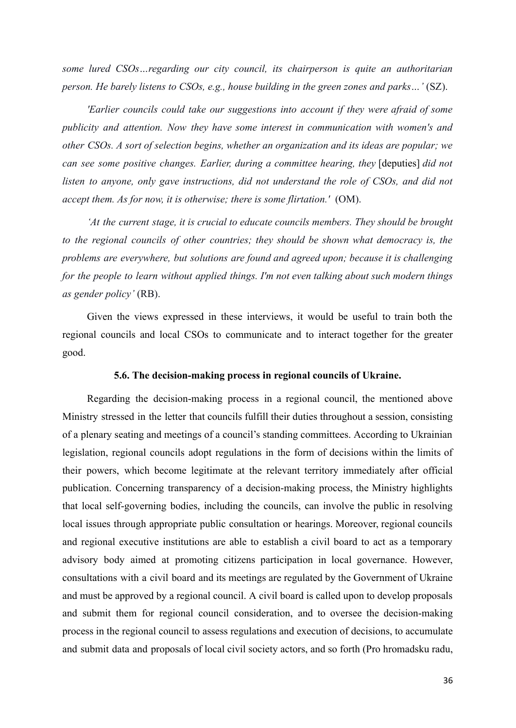*some lured CSOs…regarding our city council, its chairperson is quite an authoritarian person. He barely listens to CSOs, e.g., house building in the green zones and parks…'* (SZ).

*'Earlier councils could take our suggestions into account if they were afraid of some publicity and attention. Now they have some interest in communication with women's and other CSOs. A sort of selection begins, whether an organization and its ideas are popular; we can see some positive changes. Earlier, during a committee hearing, they* [deputies] *did not listen to anyone, only gave instructions, did not understand the role of CSOs, and did not accept them. As for now, it is otherwise; there is some flirtation.'* (OM).

*'At the current stage, it is crucial to educate councils members. They should be brought to the regional councils of other countries; they should be shown what democracy is, the problems are everywhere, but solutions are found and agreed upon; because it is challenging for the people to learn without applied things. I'm not even talking about such modern things as gender policy'* (RB).

Given the views expressed in these interviews, it would be useful to train both the regional councils and local CSOs to communicate and to interact together for the greater good.

# **5.6. The decision-making process in regional councils of Ukraine.**

Regarding the decision-making process in a regional council, the mentioned above Ministry stressed in the letter that councils fulfill their duties throughout a session, consisting of a plenary seating and meetings of a council's standing committees. According to Ukrainian legislation, regional councils adopt regulations in the form of decisions within the limits of their powers, which become legitimate at the relevant territory immediately after official publication. Concerning transparency of a decision-making process, the Ministry highlights that local self-governing bodies, including the councils, can involve the public in resolving local issues through appropriate public consultation or hearings. Moreover, regional councils and regional executive institutions are able to establish a civil board to act as a temporary advisory body aimed at promoting citizens participation in local governance. However, consultations with a civil board and its meetings are regulated by the Government of Ukraine and must be approved by a regional council. A civil board is called upon to develop proposals and submit them for regional council consideration, and to oversee the decision-making process in the regional council to assess regulations and execution of decisions, to accumulate and submit data and proposals of local civil society actors, and so forth (Pro hromadsku radu,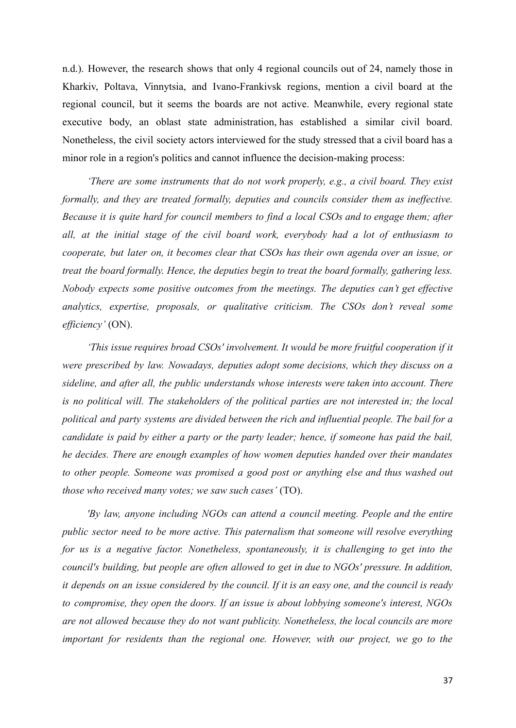n.d.). However, the research shows that only 4 regional councils out of 24, namely those in Kharkiv, Poltava, Vinnytsia, and Ivano-Frankivsk regions, mention a civil board at the regional council, but it seems the boards are not active. Meanwhile, every regional state executive body, an oblast state administration, has established a similar civil board. Nonetheless, the civil society actors interviewed for the study stressed that a civil board has a minor role in a region's politics and cannot influence the decision-making process:

*'There are some instruments that do not work properly, e.g., a civil board. They exist formally, and they are treated formally, deputies and councils consider them as ineffective. Because it is quite hard for council members to find a local CSOs and to engage them; after all, at the initial stage of the civil board work, everybody had a lot of enthusiasm to cooperate, but later on, it becomes clear that CSOs has their own agenda over an issue, or treat the board formally. Hence, the deputies begin to treat the board formally, gathering less. Nobody expects some positive outcomes from the meetings. The deputies can't get effective analytics, expertise, proposals, or qualitative criticism. The CSOs don't reveal some efficiency'* (ON).

*'This issue requires broad CSOs' involvement. It would be more fruitful cooperation if it were prescribed by law. Nowadays, deputies adopt some decisions, which they discuss on a sideline, and after all, the public understands whose interests were taken into account. There is no political will. The stakeholders of the political parties are not interested in; the local political and party systems are divided between the rich and influential people. The bail for a candidate is paid by either a party or the party leader; hence, if someone has paid the bail, he decides. There are enough examples of how women deputies handed over their mandates to other people. Someone was promised a good post or anything else and thus washed out those who received many votes; we saw such cases'* (TO).

*'By law, anyone including NGOs can attend a council meeting. People and the entire public sector need to be more active. This paternalism that someone will resolve everything for us is a negative factor. Nonetheless, spontaneously, it is challenging to get into the council's building, but people are often allowed to get in due to NGOs' pressure. In addition,* it depends on an issue considered by the council. If it is an easy one, and the council is ready *to compromise, they open the doors. If an issue is about lobbying someone's interest, NGOs are not allowed because they do not want publicity. Nonetheless, the local councils are more important for residents than the regional one. However, with our project, we go to the*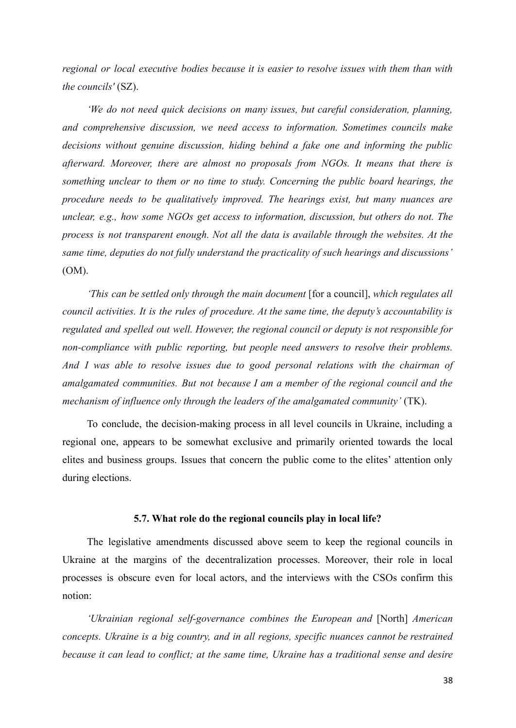*regional or local executive bodies because it is easier to resolve issues with them than with the councils'* (SZ).

*'We do not need quick decisions on many issues, but careful consideration, planning, and comprehensive discussion, we need access to information. Sometimes councils make decisions without genuine discussion, hiding behind a fake one and informing the public afterward. Moreover, there are almost no proposals from NGOs. It means that there is something unclear to them or no time to study. Concerning the public board hearings, the procedure needs to be qualitatively improved. The hearings exist, but many nuances are unclear, e.g., how some NGOs get access to information, discussion, but others do not. The process is not transparent enough. Not all the data is available through the websites. At the same time, deputies do not fully understand the practicality of such hearings and discussions'* (OM).

*'This can be settled only through the main document* [for a council], *which regulates all council activities. It is the rules of procedure. At the same time, the deputy's accountability is regulated and spelled out well. However, the regional council or deputy is not responsible for non-compliance with public reporting, but people need answers to resolve their problems. And I was able to resolve issues due to good personal relations with the chairman of amalgamated communities. But not because I am a member of the regional council and the mechanism of influence only through the leaders of the amalgamated community'* (TK).

To conclude, the decision-making process in all level councils in Ukraine, including a regional one, appears to be somewhat exclusive and primarily oriented towards the local elites and business groups. Issues that concern the public come to the elites' attention only during elections.

### **5.7. What role do the regional councils play in local life?**

The legislative amendments discussed above seem to keep the regional councils in Ukraine at the margins of the decentralization processes. Moreover, their role in local processes is obscure even for local actors, and the interviews with the CSOs confirm this notion:

*'Ukrainian regional self-governance combines the European and* [North] *American concepts. Ukraine is a big country, and in all regions, specific nuances cannot be restrained because it can lead to conflict; at the same time, Ukraine has a traditional sense and desire*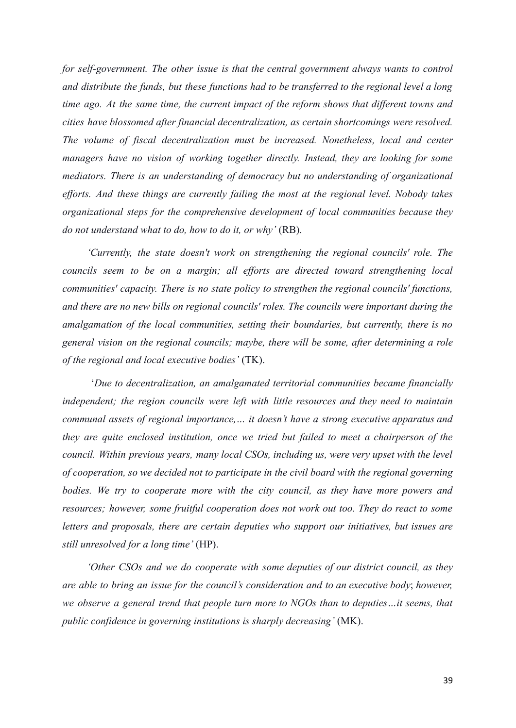*for self-government. The other issue is that the central government always wants to control and distribute the funds, but these functions had to be transferred to the regional level a long time ago. At the same time, the current impact of the reform shows that different towns and cities have blossomed after financial decentralization, as certain shortcomings were resolved. The volume of fiscal decentralization must be increased. Nonetheless, local and center managers have no vision of working together directly. Instead, they are looking for some mediators. There is an understanding of democracy but no understanding of organizational efforts. And these things are currently failing the most at the regional level. Nobody takes organizational steps for the comprehensive development of local communities because they do not understand what to do, how to do it, or why'* (RB).

*'Currently, the state doesn't work on strengthening the regional councils' role. The councils seem to be on a margin; all efforts are directed toward strengthening local communities' capacity. There is no state policy to strengthen the regional councils' functions, and there are no new bills on regional councils' roles. The councils were important during the amalgamation of the local communities, setting their boundaries, but currently, there is no general vision on the regional councils; maybe, there will be some, after determining a role of the regional and local executive bodies'* (TK).

'*Due to decentralization, an amalgamated territorial communities became financially independent; the region councils were left with little resources and they need to maintain communal assets of regional importance,… it doesn't have a strong executive apparatus and they are quite enclosed institution, once we tried but failed to meet a chairperson of the council. Within previous years, many local CSOs, including us, were very upset with the level of cooperation, so we decided not to participate in the civil board with the regional governing bodies. We try to cooperate more with the city council, as they have more powers and resources; however, some fruitful cooperation does not work out too. They do react to some letters and proposals, there are certain deputies who support our initiatives, but issues are still unresolved for a long time'* (HP).

*'Other CSOs and we do cooperate with some deputies of our district council, as they are able to bring an issue for the council's consideration and to an executive body*; *however, we observe a general trend that people turn more to NGOs than to deputies…it seems, that public confidence in governing institutions is sharply decreasing'* (MK).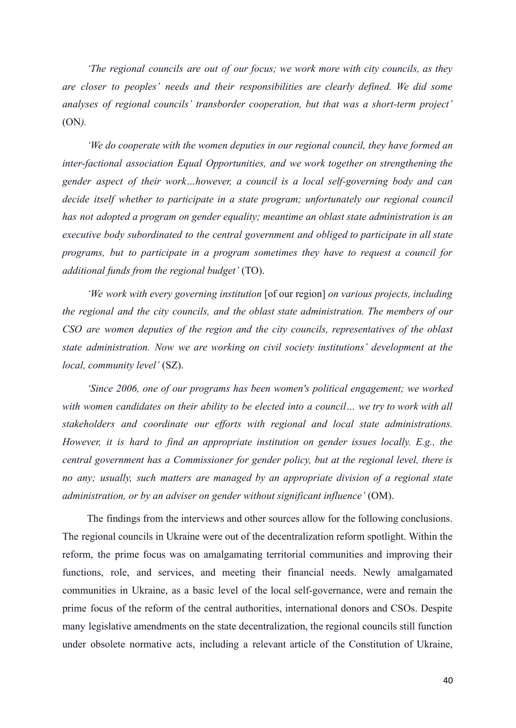*'The regional councils are out of our focus; we work more with city councils, as they are closer to peoples' needs and their responsibilities are clearly defined. We did some analyses of regional councils' transborder cooperation, but that was a short-term project'* (ON*).*

*'We do cooperate with the women deputies in our regional council, they have formed an inter-factional association Equal Opportunities, and we work together on strengthening the gender aspect of their work…however, a council is a local self-governing body and can decide itself whether to participate in a state program; unfortunately our regional council has not adopted a program on gender equality; meantime an oblast state administration is an executive body subordinated to the central government and obliged to participate in all state programs, but to participate in a program sometimes they have to request a council for additional funds from the regional budget'* (TO).

*'We work with every governing institution* [of our region] *on various projects, including the regional and the city councils, and the oblast state administration. The members of our CSO are women deputies of the region and the city councils, representatives of the oblast state administration. Now we are working on civil society institutions' development at the local, community level'* (SZ).

*'Since 2006, one of our programs has been women's political engagement; we worked with women candidates on their ability to be elected into a council… we try to work with all stakeholders and coordinate our efforts with regional and local state administrations. However, it is hard to find an appropriate institution on gender issues locally. E.g., the central government has a Commissioner for gender policy, but at the regional level, there is no any; usually, such matters are managed by an appropriate division of a regional state administration, or by an adviser on gender without significant influence'* (OM).

The findings from the interviews and other sources allow for the following conclusions. The regional councils in Ukraine were out of the decentralization reform spotlight. Within the reform, the prime focus was on amalgamating territorial communities and improving their functions, role, and services, and meeting their financial needs. Newly amalgamated communities in Ukraine, as a basic level of the local self-governance, were and remain the prime focus of the reform of the central authorities, international donors and CSOs. Despite many legislative amendments on the state decentralization, the regional councils still function under obsolete normative acts, including a relevant article of the Constitution of Ukraine,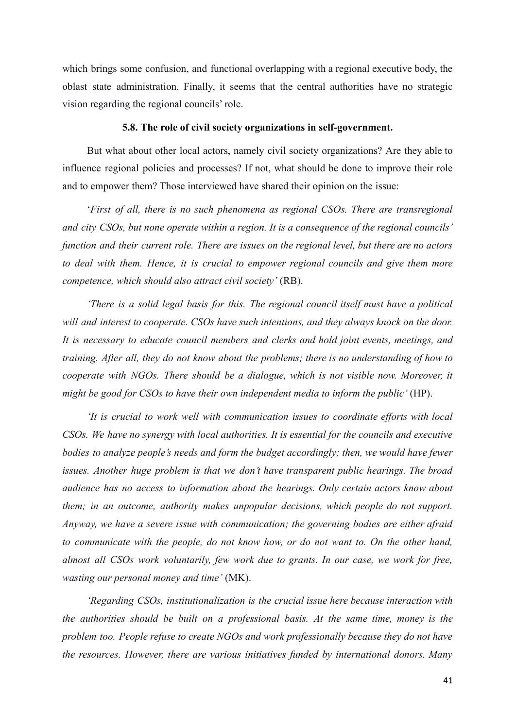which brings some confusion, and functional overlapping with a regional executive body, the oblast state administration. Finally, it seems that the central authorities have no strategic vision regarding the regional councils' role.

### **5.8. The role of civil society organizations in self-government.**

But what about other local actors, namely civil society organizations? Are they able to influence regional policies and processes? If not, what should be done to improve their role and to empower them? Those interviewed have shared their opinion on the issue:

'*First of all, there is no such phenomena as regional CSOs. There are transregional and city CSOs, but none operate within a region. It is a consequence of the regional councils' function and their current role. There are issues on the regional level, but there are no actors to deal with them. Hence, it is crucial to empower regional councils and give them more competence, which should also attract civil society'* (RB).

*'There is a solid legal basis for this. The regional council itself must have a political will and interest to cooperate. CSOs have such intentions, and they always knock on the door. It is necessary to educate council members and clerks and hold joint events, meetings, and training. After all, they do not know about the problems; there is no understanding of how to cooperate with NGOs. There should be a dialogue, which is not visible now. Moreover, it might be good for CSOs to have their own independent media to inform the public'* (HP).

*'It is crucial to work well with communication issues to coordinate efforts with local CSOs. We have no synergy with local authorities. It is essential for the councils and executive bodies to analyze people's needs and form the budget accordingly; then, we would have fewer issues. Another huge problem is that we don't have transparent public hearings. The broad audience has no access to information about the hearings. Only certain actors know about them; in an outcome, authority makes unpopular decisions, which people do not support. Anyway, we have a severe issue with communication; the governing bodies are either afraid to communicate with the people, do not know how, or do not want to. On the other hand, almost all CSOs work voluntarily, few work due to grants. In our case, we work for free, wasting our personal money and time'* (MK).

*'Regarding CSOs, institutionalization is the crucial issue here because interaction with the authorities should be built on a professional basis. At the same time, money is the problem too. People refuse to create NGOs and work professionally because they do not have the resources. However, there are various initiatives funded by international donors. Many*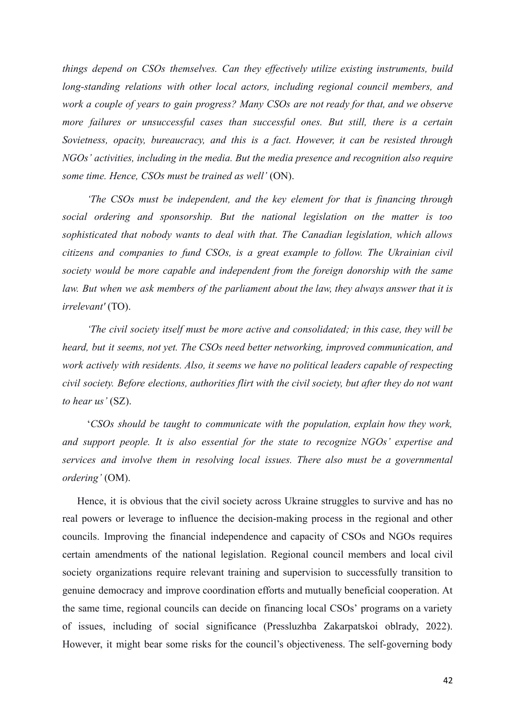*things depend on CSOs themselves. Can they effectively utilize existing instruments, build long-standing relations with other local actors, including regional council members, and work a couple of years to gain progress? Many CSOs are not ready for that, and we observe more failures or unsuccessful cases than successful ones. But still, there is a certain Sovietness, opacity, bureaucracy, and this is a fact. However, it can be resisted through NGOs' activities, including in the media. But the media presence and recognition also require some time. Hence, CSOs must be trained as well'* (ON).

*'The CSOs must be independent, and the key element for that is financing through social ordering and sponsorship. But the national legislation on the matter is too sophisticated that nobody wants to deal with that. The Canadian legislation, which allows citizens and companies to fund CSOs, is a great example to follow. The Ukrainian civil society would be more capable and independent from the foreign donorship with the same law. But when we ask members of the parliament about the law, they always answer that it is irrelevant'* (TO).

*'The civil society itself must be more active and consolidated; in this case, they will be heard, but it seems, not yet. The CSOs need better networking, improved communication, and work actively with residents. Also, it seems we have no political leaders capable of respecting civil society. Before elections, authorities flirt with the civil society, but after they do not want to hear us'* (SZ).

'*CSOs should be taught to communicate with the population, explain how they work, and support people. It is also essential for the state to recognize NGOs' expertise and services and involve them in resolving local issues. There also must be a governmental ordering'* (OM).

Hence, it is obvious that the civil society across Ukraine struggles to survive and has no real powers or leverage to influence the decision-making process in the regional and other councils. Improving the financial independence and capacity of CSOs and NGOs requires certain amendments of the national legislation. Regional council members and local civil society organizations require relevant training and supervision to successfully transition to genuine democracy and improve coordination efforts and mutually beneficial cooperation. At the same time, regional councils can decide on financing local CSOs' programs on a variety of issues, including of social significance (Pressluzhba Zakarpatskoi oblrady, 2022). However, it might bear some risks for the council's objectiveness. The self-governing body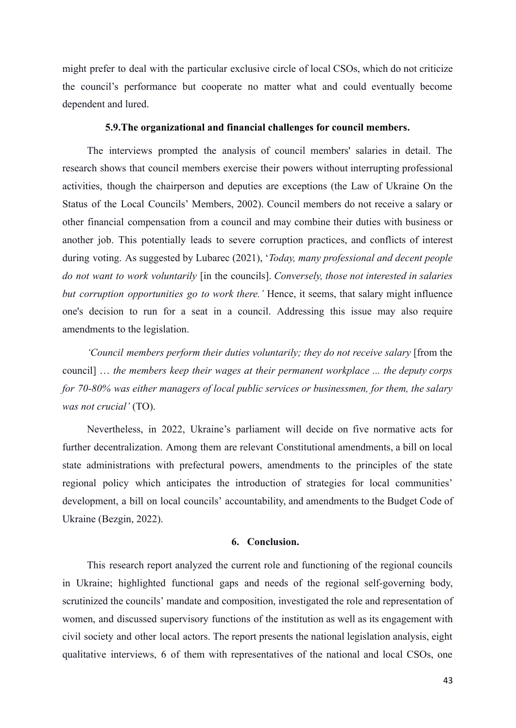might prefer to deal with the particular exclusive circle of local CSOs, which do not criticize the council's performance but cooperate no matter what and could eventually become dependent and lured.

# **5.9.The organizational and financial challenges for council members.**

The interviews prompted the analysis of council members' salaries in detail. The research shows that council members exercise their powers without interrupting professional activities, though the chairperson and deputies are exceptions (the Law of Ukraine On the Status of the Local Councils' Members, 2002). Council members do not receive a salary or other financial compensation from a council and may combine their duties with business or another job. This potentially leads to severe corruption practices, and conflicts of interest during voting. As suggested by Lubarec (2021), '*Today, many professional and decent people do not want to work voluntarily* [in the councils]. *Conversely, those not interested in salaries but corruption opportunities go to work there.'* Hence, it seems, that salary might influence one's decision to run for a seat in a council. Addressing this issue may also require amendments to the legislation.

*'Council members perform their duties voluntarily; they do not receive salary* [from the council] … *the members keep their wages at their permanent workplace ... the deputy corps for 70-80% was either managers of local public services or businessmen, for them, the salary was not crucial'* (TO).

Nevertheless, in 2022, Ukraine's parliament will decide on five normative acts for further decentralization. Among them are relevant Constitutional amendments, a bill on local state administrations with prefectural powers, amendments to the principles of the state regional policy which anticipates the introduction of strategies for local communities' development, a bill on local councils' accountability, and amendments to the Budget Code of Ukraine (Bezgin, 2022).

# **6. Conclusion.**

This research report analyzed the current role and functioning of the regional councils in Ukraine; highlighted functional gaps and needs of the regional self-governing body, scrutinized the councils' mandate and composition, investigated the role and representation of women, and discussed supervisory functions of the institution as well as its engagement with civil society and other local actors. The report presents the national legislation analysis, eight qualitative interviews, 6 of them with representatives of the national and local CSOs, one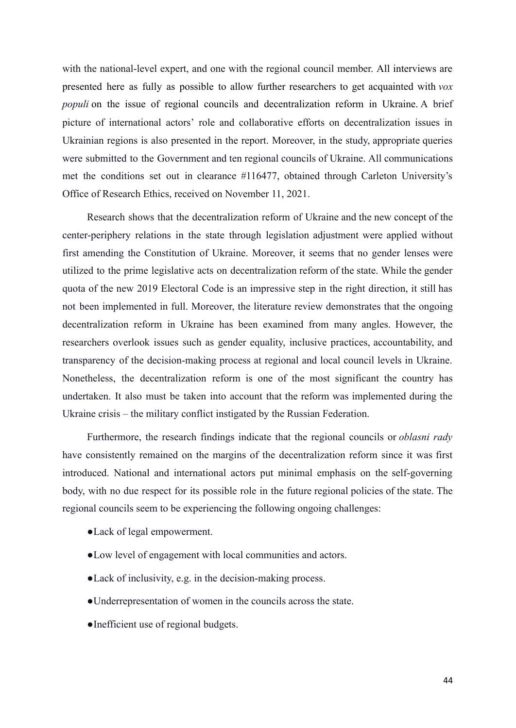with the national-level expert, and one with the regional council member. All interviews are presented here as fully as possible to allow further researchers to get acquainted with *vox populi* on the issue of regional councils and decentralization reform in Ukraine. A brief picture of international actors' role and collaborative efforts on decentralization issues in Ukrainian regions is also presented in the report. Moreover, in the study, appropriate queries were submitted to the Government and ten regional councils of Ukraine. All communications met the conditions set out in clearance #116477, obtained through Carleton University's Office of Research Ethics, received on November 11, 2021.

Research shows that the decentralization reform of Ukraine and the new concept of the center-periphery relations in the state through legislation adjustment were applied without first amending the Constitution of Ukraine. Moreover, it seems that no gender lenses were utilized to the prime legislative acts on decentralization reform of the state. While the gender quota of the new 2019 Electoral Code is an impressive step in the right direction, it still has not been implemented in full. Moreover, the literature review demonstrates that the ongoing decentralization reform in Ukraine has been examined from many angles. However, the researchers overlook issues such as gender equality, inclusive practices, accountability, and transparency of the decision-making process at regional and local council levels in Ukraine. Nonetheless, the decentralization reform is one of the most significant the country has undertaken. It also must be taken into account that the reform was implemented during the Ukraine crisis – the military conflict instigated by the Russian Federation.

Furthermore, the research findings indicate that the regional councils or *oblasni rady* have consistently remained on the margins of the decentralization reform since it was first introduced. National and international actors put minimal emphasis on the self-governing body, with no due respect for its possible role in the future regional policies of the state. The regional councils seem to be experiencing the following ongoing challenges:

- ●Lack of legal empowerment.
- ●Low level of engagement with local communities and actors.
- ●Lack of inclusivity, e.g. in the decision-making process.
- ●Underrepresentation of women in the councils across the state.
- ●Inefficient use of regional budgets.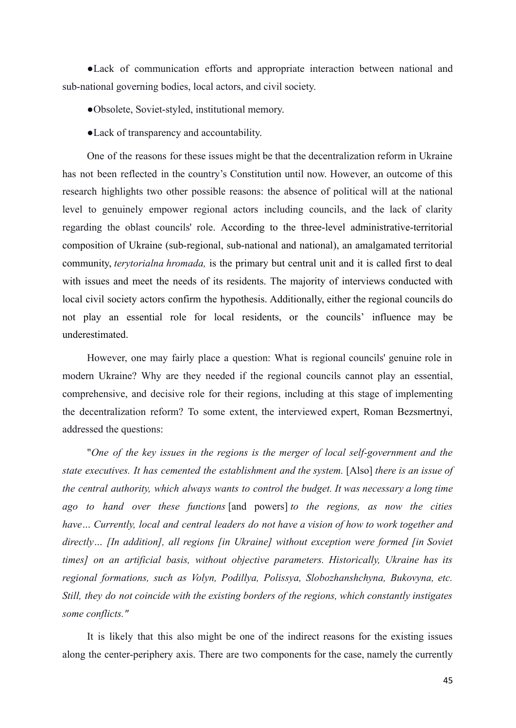●Lack of communication efforts and appropriate interaction between national and sub-national governing bodies, local actors, and civil society.

- ●Obsolete, Soviet-styled, institutional memory.
- ●Lack of transparency and accountability.

One of the reasons for these issues might be that the decentralization reform in Ukraine has not been reflected in the country's Constitution until now. However, an outcome of this research highlights two other possible reasons: the absence of political will at the national level to genuinely empower regional actors including councils, and the lack of clarity regarding the oblast councils' role. According to the three-level administrative-territorial composition of Ukraine (sub-regional, sub-national and national), an amalgamated territorial community, *terytorialna hromada,* is the primary but central unit and it is called first to deal with issues and meet the needs of its residents. The majority of interviews conducted with local civil society actors confirm the hypothesis. Additionally, either the regional councils do not play an essential role for local residents, or the councils' influence may be underestimated.

However, one may fairly place a question: What is regional councils' genuine role in modern Ukraine? Why are they needed if the regional councils cannot play an essential, comprehensive, and decisive role for their regions, including at this stage of implementing the decentralization reform? To some extent, the interviewed expert, Roman Bezsmertnyi, addressed the questions:

"*One of the key issues in the regions is the merger of local self-government and the state executives. It has cemented the establishment and the system.* [Also] *there is an issue of the central authority, which always wants to control the budget. It was necessary a long time ago to hand over these functions* [and powers] *to the regions, as now the cities have… Currently, local and central leaders do not have a vision of how to work together and directly… [In addition], all regions [in Ukraine] without exception were formed [in Soviet times] on an artificial basis, without objective parameters. Historically, Ukraine has its regional formations, such as Volyn, Podillya, Polissya, Slobozhanshchyna, Bukovyna, etc. Still, they do not coincide with the existing borders of the regions, which constantly instigates some conflicts."*

It is likely that this also might be one of the indirect reasons for the existing issues along the center-periphery axis. There are two components for the case, namely the currently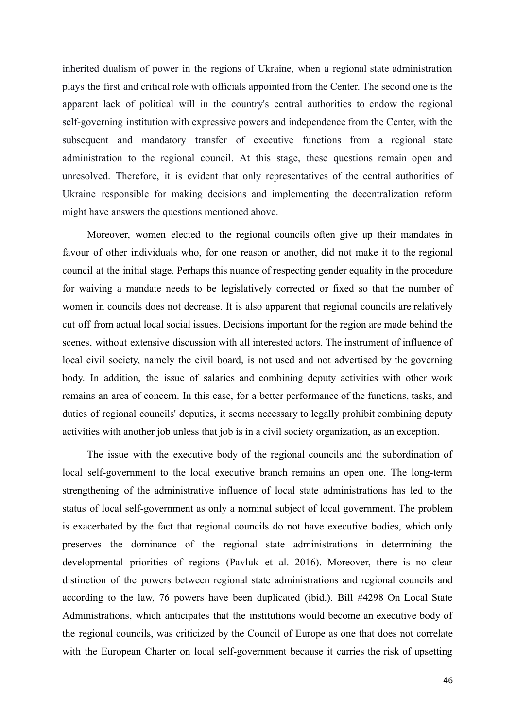inherited dualism of power in the regions of Ukraine, when a regional state administration plays the first and critical role with officials appointed from the Center. The second one is the apparent lack of political will in the country's central authorities to endow the regional self-governing institution with expressive powers and independence from the Center, with the subsequent and mandatory transfer of executive functions from a regional state administration to the regional council. At this stage, these questions remain open and unresolved. Therefore, it is evident that only representatives of the central authorities of Ukraine responsible for making decisions and implementing the decentralization reform might have answers the questions mentioned above.

Moreover, women elected to the regional councils often give up their mandates in favour of other individuals who, for one reason or another, did not make it to the regional council at the initial stage. Perhaps this nuance of respecting gender equality in the procedure for waiving a mandate needs to be legislatively corrected or fixed so that the number of women in councils does not decrease. It is also apparent that regional councils are relatively cut off from actual local social issues. Decisions important for the region are made behind the scenes, without extensive discussion with all interested actors. The instrument of influence of local civil society, namely the civil board, is not used and not advertised by the governing body. In addition, the issue of salaries and combining deputy activities with other work remains an area of concern. In this case, for a better performance of the functions, tasks, and duties of regional councils' deputies, it seems necessary to legally prohibit combining deputy activities with another job unless that job is in a civil society organization, as an exception.

The issue with the executive body of the regional councils and the subordination of local self-government to the local executive branch remains an open one. The long-term strengthening of the administrative influence of local state administrations has led to the status of local self-government as only a nominal subject of local government. The problem is exacerbated by the fact that regional councils do not have executive bodies, which only preserves the dominance of the regional state administrations in determining the developmental priorities of regions (Pavluk et al. 2016). Moreover, there is no clear distinction of the powers between regional state administrations and regional councils and according to the law, 76 powers have been duplicated (ibid.). Bill #4298 On Local State Administrations, which anticipates that the institutions would become an executive body of the regional councils, was criticized by the Council of Europe as one that does not correlate with the European Charter on local self-government because it carries the risk of upsetting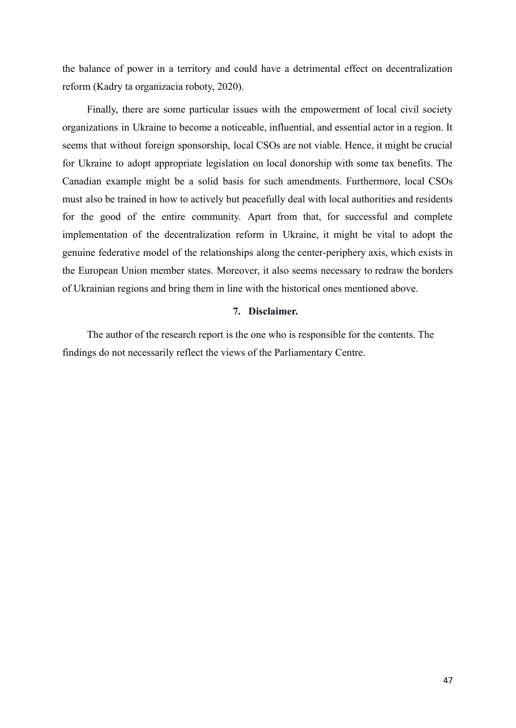the balance of power in a territory and could have a detrimental effect on decentralization reform (Kadry ta organizacia roboty, 2020).

Finally, there are some particular issues with the empowerment of local civil society organizations in Ukraine to become a noticeable, influential, and essential actor in a region. It seems that without foreign sponsorship, local CSOs are not viable. Hence, it might be crucial for Ukraine to adopt appropriate legislation on local donorship with some tax benefits. The Canadian example might be a solid basis for such amendments. Furthermore, local CSOs must also be trained in how to actively but peacefully deal with local authorities and residents for the good of the entire community. Apart from that, for successful and complete implementation of the decentralization reform in Ukraine, it might be vital to adopt the genuine federative model of the relationships along the center-periphery axis, which exists in the European Union member states. Moreover, it also seems necessary to redraw the borders of Ukrainian regions and bring them in line with the historical ones mentioned above.

# **7. Disclaimer.**

The author of the research report is the one who is responsible for the contents. The findings do not necessarily reflect the views of the Parliamentary Centre.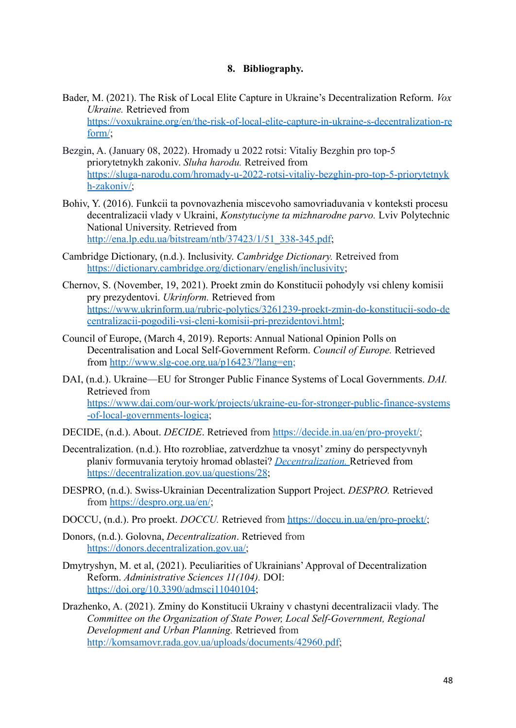# **8. Bibliography.**

- Bader, M. (2021). The Risk of Local Elite Capture in Ukraine's Decentralization Reform. *Vox Ukraine.* Retrieved from [https://voxukraine.org/en/the-risk-of-local-elite-capture-in-ukraine-s-decentralization-re](https://voxukraine.org/en/the-risk-of-local-elite-capture-in-ukraine-s-decentralization-reform/) [form/](https://voxukraine.org/en/the-risk-of-local-elite-capture-in-ukraine-s-decentralization-reform/);
- Bezgin, A. (January 08, 2022). Hromady u 2022 rotsi: Vitaliy Bezghin pro top-5 priorytetnykh zakoniv. *Sluha harodu.* Retreived from [https://sluga-narodu.com/hromady-u-2022-rotsi-vitaliy-bezghin-pro-top-5-priorytetnyk](https://sluga-narodu.com/hromady-u-2022-rotsi-vitaliy-bezghin-pro-top-5-priorytetnykh-zakoniv/) [h-zakoniv/;](https://sluga-narodu.com/hromady-u-2022-rotsi-vitaliy-bezghin-pro-top-5-priorytetnykh-zakoniv/)
- Bohiv, Y. (2016). Funkcii ta povnovazhenia miscevoho samovriaduvania v konteksti procesu decentralizacii vlady v Ukraini, *Konstytuciyne ta mizhnarodne parvo.* Lviv Polytechnic National University. Retrieved from [http://ena.lp.edu.ua/bitstream/ntb/37423/1/51\\_338-345.pdf](http://ena.lp.edu.ua/bitstream/ntb/37423/1/51_338-345.pdf);
- Cambridge Dictionary, (n.d.). Inclusivity. *Cambridge Dictionary.* Retreived from <https://dictionary.cambridge.org/dictionary/english/inclusivity>;
- Chernov, S. (November, 19, 2021). Proekt zmin do Konstitucii pohodyly vsi chleny komisii pry prezydentovi. *Ukrinform.* Retrieved from [https://www.ukrinform.ua/rubric-polytics/3261239-proekt-zmin-do-konstitucii-sodo-de](https://www.ukrinform.ua/rubric-polytics/3261239-proekt-zmin-do-konstitucii-sodo-decentralizacii-pogodili-vsi-cleni-komisii-pri-prezidentovi.html) [centralizacii-pogodili-vsi-cleni-komisii-pri-prezidentovi.html;](https://www.ukrinform.ua/rubric-polytics/3261239-proekt-zmin-do-konstitucii-sodo-decentralizacii-pogodili-vsi-cleni-komisii-pri-prezidentovi.html)
- Council of Europe, (March 4, 2019). Reports: Annual National Opinion Polls on Decentralisation and Local Self-Government Reform. *Council of Europe.* Retrieved from <http://www.slg-coe.org.ua/p16423/?lang=en>;
- DAI, (n.d.). Ukraine—EU for Stronger Public Finance Systems of Local Governments. *DAI.* Retrieved from [https://www.dai.com/our-work/projects/ukraine-eu-for-stronger-public-finance-systems](https://www.dai.com/our-work/projects/ukraine-eu-for-stronger-public-finance-systems-of-local-governments-logica) [-of-local-governments-logica](https://www.dai.com/our-work/projects/ukraine-eu-for-stronger-public-finance-systems-of-local-governments-logica);
- DECIDE, (n.d.). About. *DECIDE*. Retrieved from [https://decide.in.ua/en/pro-proyekt/;](https://decide.in.ua/en/pro-proyekt/)
- Decentralization. (n.d.). Hto rozrobliae, zatverdzhue ta vnosyt' zminy do perspectyvnyh planiv formuvania terytoiy hromad oblastei? *Decentralization.* Retrieved from <https://decentralization.gov.ua/questions/28>;
- DESPRO, (n.d.). Swiss-Ukrainian Decentralization Support Project. *DESPRO.* Retrieved from <https://despro.org.ua/en/>;
- DOCCU, (n.d.). Pro proekt. *DOCCU*. Retrieved from [https://doccu.in.ua/en/pro-proekt/;](https://doccu.in.ua/en/pro-proekt/)
- Donors, (n.d.). Golovna, *Decentralization*. Retrieved from <https://donors.decentralization.gov.ua/>;
- Dmytryshyn, M. et al, (2021). Peculiarities of Ukrainians'Approval of Decentralization Reform. *Administrative Sciences 11(104).* DOI: <https://doi.org/10.3390/admsci11040104>;
- Drazhenko, A. (2021). Zminy do Konstitucii Ukrainy v chastyni decentralizacii vlady. The *Committee on the Organization of State Power, Local Self-Government, Regional Development and Urban Planning.* Retrieved from [http://komsamovr.rada.gov.ua/uploads/documents/42960.pdf;](http://komsamovr.rada.gov.ua/uploads/documents/42960.pdf)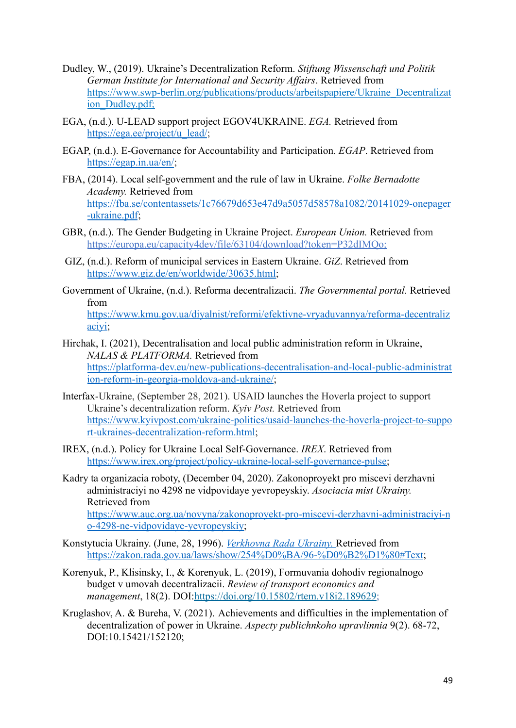- Dudley, W., (2019). Ukraine's Decentralization Reform. *Stiftung Wissenschaft und Politik German Institute for International and Security Affairs*. Retrieved from https://www.swp-berlin.org/publications/products/arbeitspapiere/Ukraine\_Decentralizat ion\_Dudley.pdf;
- EGA, (n.d.). U-LEAD support project EGOV4UKRAINE. *EGA.* Retrieved from [https://ega.ee/project/u\\_lead/](https://ega.ee/project/u_lead/);
- EGAP, (n.d.). E-Governance for Accountability and Participation. *EGAP*. Retrieved from <https://egap.in.ua/en/>;
- FBA, (2014). Local self-government and the rule of law in Ukraine. *Folke Bernadotte Academy.* Retrieved from [https://fba.se/contentassets/1c76679d653e47d9a5057d58578a1082/20141029-onepager](https://fba.se/contentassets/1c76679d653e47d9a5057d58578a1082/20141029-onepager-ukraine.pdf) [-ukraine.pdf](https://fba.se/contentassets/1c76679d653e47d9a5057d58578a1082/20141029-onepager-ukraine.pdf);
- GBR, (n.d.). The Gender Budgeting in Ukraine Project. *European Union.* Retrieved from [https://europa.eu/capacity4dev/file/63104/download?token=P32dIMQo;](https://europa.eu/capacity4dev/file/63104/download?token=P32dIMQo)
- GIZ, (n.d.). Reform of municipal services in Eastern Ukraine. *GiZ*. Retrieved from [https://www.giz.de/en/worldwide/30635.html;](https://www.giz.de/en/worldwide/30635.html)
- Government of Ukraine, (n.d.). Reforma decentralizacii. *The Governmental portal.* Retrieved from [https://www.kmu.gov.ua/diyalnist/reformi/efektivne-vryaduvannya/reforma-decentraliz](https://www.kmu.gov.ua/diyalnist/reformi/efektivne-vryaduvannya/reforma-decentralizaciyi)

[aciyi;](https://www.kmu.gov.ua/diyalnist/reformi/efektivne-vryaduvannya/reforma-decentralizaciyi)

- Hirchak, I. (2021), Decentralisation and local public administration reform in Ukraine, *NALAS & PLATFORMA.* Retrieved from [https://platforma-dev.eu/new-publications-decentralisation-and-local-public-administrat](https://platforma-dev.eu/new-publications-decentralisation-and-local-public-administration-reform-in-georgia-moldova-and-ukraine/) [ion-reform-in-georgia-moldova-and-ukraine/](https://platforma-dev.eu/new-publications-decentralisation-and-local-public-administration-reform-in-georgia-moldova-and-ukraine/);
- Interfax-Ukraine, (September 28, 2021). USAID launches the Hoverla project to support Ukraine's decentralization reform. *Kyiv Post.* Retrieved from [https://www.kyivpost.com/ukraine-politics/usaid-launches-the-hoverla-project-to-suppo](https://www.kyivpost.com/ukraine-politics/usaid-launches-the-hoverla-project-to-support-ukraines-decentralization-reform.html) [rt-ukraines-decentralization-reform.html;](https://www.kyivpost.com/ukraine-politics/usaid-launches-the-hoverla-project-to-support-ukraines-decentralization-reform.html)
- IREX, (n.d.). Policy for Ukraine Local Self-Governance. *IREX*. Retrieved from [https://www.irex.org/project/policy-ukraine-local-self-governance-pulse;](https://www.irex.org/project/policy-ukraine-local-self-governance-pulse)
- Kadry ta organizacia roboty, (December 04, 2020). Zakonoproyekt pro miscevi derzhavni administraciyi no 4298 ne vidpovidaye yevropeyskiy. *Asociacia mist Ukrainy.* Retrieved from [https://www.auc.org.ua/novyna/zakonoproyekt-pro-miscevi-derzhavni-administraciyi-n](https://www.auc.org.ua/novyna/zakonoproyekt-pro-miscevi-derzhavni-administraciyi-no-4298-ne-vidpovidaye-yevropeyskiy) [o-4298-ne-vidpovidaye-yevropeyskiy;](https://www.auc.org.ua/novyna/zakonoproyekt-pro-miscevi-derzhavni-administraciyi-no-4298-ne-vidpovidaye-yevropeyskiy)
- Konstytucia Ukrainy. (June, 28, 1996). *Verkhovna Rada Ukrainy.* Retrieved from <https://zakon.rada.gov.ua/laws/show/254%D0%BA/96-%D0%B2%D1%80#Text>;
- Korenyuk, P., Klisinsky, I., & Korenyuk, L. (2019), Formuvania dohodiv regionalnogo budget v umovah decentralizacii. *Review of transport economics and management*, 18(2). DOI[:https://doi.org/10.15802/rtem.v18i2.189629;](https://doi.org/10.15802/rtem.v18i2.189629)
- Kruglashov, A. & Bureha, V. (2021). Achievements and difficulties in the implementation of decentralization of power in Ukraine. *Aspecty publichnkoho upravlinnia* 9(2). 68-72, DOI:10.15421/152120;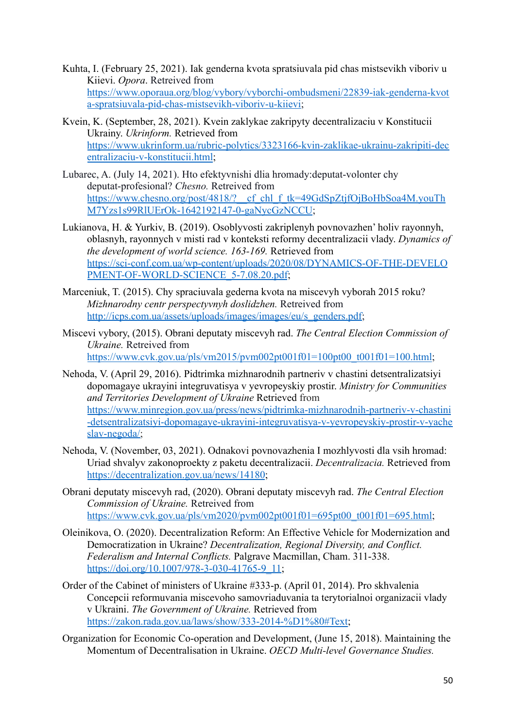- Kuhta, I. (February 25, 2021). Iak genderna kvota spratsiuvala pid chas mistsevikh viboriv u Kiievi. *Opora*. Retreived from [https://www.oporaua.org/blog/vybory/vyborchi-ombudsmeni/22839-iak-genderna-kvot](https://www.oporaua.org/blog/vybory/vyborchi-ombudsmeni/22839-iak-genderna-kvota-spratsiuvala-pid-chas-mistsevikh-viboriv-u-kiievi) [a-spratsiuvala-pid-chas-mistsevikh-viboriv-u-kiievi;](https://www.oporaua.org/blog/vybory/vyborchi-ombudsmeni/22839-iak-genderna-kvota-spratsiuvala-pid-chas-mistsevikh-viboriv-u-kiievi)
- Kvein, K. (September, 28, 2021). Kvein zaklykae zakripyty decentralizaciu v Konstitucii Ukrainy. *Ukrinform.* Retrieved from [https://www.ukrinform.ua/rubric-polytics/3323166-kvin-zaklikae-ukrainu-zakripiti-dec](https://www.ukrinform.ua/rubric-polytics/3323166-kvin-zaklikae-ukrainu-zakripiti-decentralizaciu-v-konstitucii.html) [entralizaciu-v-konstitucii.html](https://www.ukrinform.ua/rubric-polytics/3323166-kvin-zaklikae-ukrainu-zakripiti-decentralizaciu-v-konstitucii.html);
- Lubarec, A. (July 14, 2021). Hto efektyvnishi dlia hromady:deputat-volonter chy deputat-profesional? *Chesno.* Retreived from https://www.chesno.org/post/4818/? cf chl f tk=49GdSpZtjfOjBoHbSoa4M.youTh [M7Yzs1s99RlUErOk-1642192147-0-gaNycGzNCCU](https://www.chesno.org/post/4818/?__cf_chl_f_tk=49GdSpZtjfOjBoHbSoa4M.youThM7Yzs1s99RlUErOk-1642192147-0-gaNycGzNCCU);
- Lukianova, H. & Yurkiv, B. (2019). Osoblyvosti zakriplenyh povnovazhen' holiv rayonnyh, oblasnyh, rayonnych v misti rad v konteksti reformy decentralizacii vlady. *Dynamics of the development of world science. 163-169.* Retrieved from [https://sci-conf.com.ua/wp-content/uploads/2020/08/DYNAMICS-OF-THE-DEVELO](https://sci-conf.com.ua/wp-content/uploads/2020/08/DYNAMICS-OF-THE-DEVELOPMENT-OF-WORLD-SCIENCE_5-7.08.20.pdf) [PMENT-OF-WORLD-SCIENCE\\_5-7.08.20.pdf](https://sci-conf.com.ua/wp-content/uploads/2020/08/DYNAMICS-OF-THE-DEVELOPMENT-OF-WORLD-SCIENCE_5-7.08.20.pdf);
- Marceniuk, T. (2015). Chy spraciuvala gederna kvota na miscevyh vyborah 2015 roku? *Mizhnarodny centr perspectyvnyh doslidzhen.* Retreived from [http://icps.com.ua/assets/uploads/images/images/eu/s\\_genders.pdf](http://icps.com.ua/assets/uploads/images/images/eu/s_genders.pdf);
- Miscevi vybory, (2015). Obrani deputaty miscevyh rad. *The Central Election Commission of Ukraine.* Retreived from [https://www.cvk.gov.ua/pls/vm2015/pvm002pt001f01=100pt00\\_t001f01=100.html](https://www.cvk.gov.ua/pls/vm2015/pvm002pt001f01=100pt00_t001f01=100.html);
- Nehoda, V. (April 29, 2016). Pidtrimka mizhnarodnih partneriv v chastini detsentralizatsiyi dopomagaye ukrayini integruvatisya v yevropeyskiy prostir. *Ministry for Communities and Territories Development of Ukraine* Retrieved from [https://www.minregion.gov.ua/press/news/pidtrimka-mizhnarodnih-partneriv-v-chastini](https://www.minregion.gov.ua/press/news/pidtrimka-mizhnarodnih-partneriv-v-chastini-detsentralizatsiyi-dopomagaye-ukrayini-integruvatisya-v-yevropeyskiy-prostir-v-yacheslav-negoda/) [-detsentralizatsiyi-dopomagaye-ukrayini-integruvatisya-v-yevropeyskiy-prostir-v-yache](https://www.minregion.gov.ua/press/news/pidtrimka-mizhnarodnih-partneriv-v-chastini-detsentralizatsiyi-dopomagaye-ukrayini-integruvatisya-v-yevropeyskiy-prostir-v-yacheslav-negoda/) [slav-negoda/;](https://www.minregion.gov.ua/press/news/pidtrimka-mizhnarodnih-partneriv-v-chastini-detsentralizatsiyi-dopomagaye-ukrayini-integruvatisya-v-yevropeyskiy-prostir-v-yacheslav-negoda/)
- Nehoda, V. (November, 03, 2021). Odnakovi povnovazhenia I mozhlyvosti dla vsih hromad: Uriad shvalyv zakonoproekty z paketu decentralizacii. *Decentralizacia.* Retrieved from <https://decentralization.gov.ua/news/14180>;
- Obrani deputaty miscevyh rad, (2020). Obrani deputaty miscevyh rad. *The Central Election Commission of Ukraine.* Retreived from [https://www.cvk.gov.ua/pls/vm2020/pvm002pt001f01=695pt00\\_t001f01=695.html](https://www.cvk.gov.ua/pls/vm2020/pvm002pt001f01=695pt00_t001f01=695.html);
- Oleinikova, O. (2020). Decentralization Reform: An Effective Vehicle for Modernization and Democratization in Ukraine? *Decentralization, Regional Diversity, and Conflict. Federalism and Internal Conflicts.* Palgrave Macmillan, Cham. 311-338. [https://doi.org/10.1007/978-3-030-41765-9\\_11](https://doi.org/10.1007/978-3-030-41765-9_11);
- Order of the Cabinet of ministers of Ukraine #333-p. (April 01, 2014). Pro skhvalenia Concepcii reformuvania miscevoho samovriaduvania ta terytorialnoi organizacii vlady v Ukraini. *The Government of Ukraine.* Retrieved from [https://zakon.rada.gov.ua/laws/show/333-2014-%D1%80#Text;](https://zakon.rada.gov.ua/laws/show/333-2014-%D1%80#Text)
- Organization for Economic Co-operation and Development, (June 15, 2018). Maintaining the Momentum of Decentralisation in Ukraine. *OECD Multi-level Governance Studies.*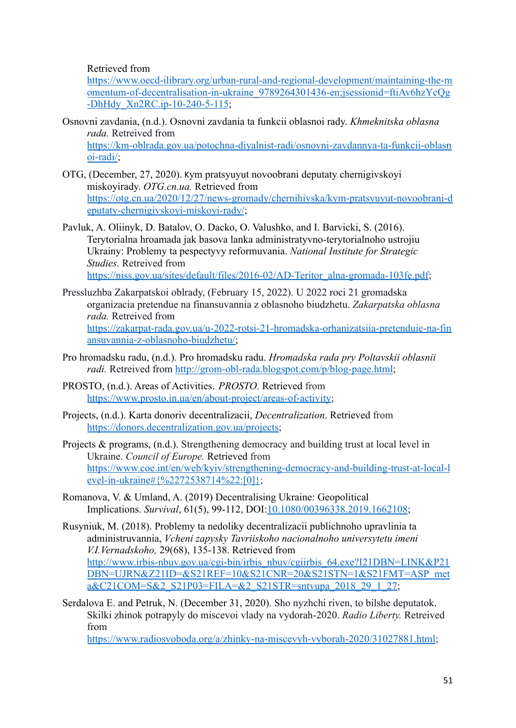Retrieved from

[https://www.oecd-ilibrary.org/urban-rural-and-regional-development/maintaining-the-m](https://www.oecd-ilibrary.org/urban-rural-and-regional-development/maintaining-the-momentum-of-decentralisation-in-ukraine_9789264301436-en;jsessionid=ftiAv6hzYcQg-DhHdy_Xn2RC.ip-10-240-5-115) [omentum-of-decentralisation-in-ukraine\\_9789264301436-en;jsessionid=ftiAv6hzYcQg](https://www.oecd-ilibrary.org/urban-rural-and-regional-development/maintaining-the-momentum-of-decentralisation-in-ukraine_9789264301436-en;jsessionid=ftiAv6hzYcQg-DhHdy_Xn2RC.ip-10-240-5-115) [-DhHdy\\_Xn2RC.ip-10-240-5-115](https://www.oecd-ilibrary.org/urban-rural-and-regional-development/maintaining-the-momentum-of-decentralisation-in-ukraine_9789264301436-en;jsessionid=ftiAv6hzYcQg-DhHdy_Xn2RC.ip-10-240-5-115);

- Osnovni zavdania, (n.d.). Osnovni zavdania ta funkcii oblasnoi rady. *Khmeknitska oblasna rada.* Retreived from [https://km-oblrada.gov.ua/potochna-diyalnist-radi/osnovni-zavdannya-ta-funkcii-oblasn](https://km-oblrada.gov.ua/potochna-diyalnist-radi/osnovni-zavdannya-ta-funkcii-oblasnoi-radi/) [oi-radi/;](https://km-oblrada.gov.ua/potochna-diyalnist-radi/osnovni-zavdannya-ta-funkcii-oblasnoi-radi/)
- OTG, (December, 27, 2020). Kym pratsyuyut novoobrani deputaty chernigivskoyi miskoyirady. *OTG.cn.ua.* Retrieved from [https://otg.cn.ua/2020/12/27/news-gromady/chernihivska/kym-pratsyuyut-novoobrani-d](https://otg.cn.ua/2020/12/27/news-gromady/chernihivska/kym-pratsyuyut-novoobrani-deputaty-chernigivskoyi-miskoyi-rady/) [eputaty-chernigivskoyi-miskoyi-rady/](https://otg.cn.ua/2020/12/27/news-gromady/chernihivska/kym-pratsyuyut-novoobrani-deputaty-chernigivskoyi-miskoyi-rady/);
- Pavluk, A. Oliinyk, D. Batalov, O. Dacko, O. Valushko, and I. Barvicki, S. (2016). Terytorialna hroamada jak basova lanka administratyvno-terytorialnoho ustrojiu Ukrainy: Problemy ta pespectyvy reformuvania. *National Institute for Strategic Studies.* Retreived from [https://niss.gov.ua/sites/default/files/2016-02/AD-Teritor\\_alna-gromada-103fe.pdf](https://niss.gov.ua/sites/default/files/2016-02/AD-Teritor_alna-gromada-103fe.pdf);
- Pressluzhba Zakarpatskoi oblrady, (February 15, 2022). U 2022 roci 21 gromadska organizacia pretendue na finansuvannia z oblasnoho biudzhetu. *Zakarpatska oblasna rada.* Retreived from [https://zakarpat-rada.gov.ua/u-2022-rotsi-21-hromadska-orhanizatsiia-pretenduie-na-fin](https://zakarpat-rada.gov.ua/u-2022-rotsi-21-hromadska-orhanizatsiia-pretenduie-na-finansuvannia-z-oblasnoho-biudzhetu/) [ansuvannia-z-oblasnoho-biudzhetu/;](https://zakarpat-rada.gov.ua/u-2022-rotsi-21-hromadska-orhanizatsiia-pretenduie-na-finansuvannia-z-oblasnoho-biudzhetu/)
- Pro hromadsku radu, (n.d.). Pro hromadsku radu. *Hromadska rada pry Poltavskii oblasnii radi.* Retreived from <http://grom-obl-rada.blogspot.com/p/blog-page.html>;
- PROSTO, (n.d.). Areas of Activities. *PROSTO.* Retrieved from [https://www.prosto.in.ua/en/about-project/areas-of-activity;](https://www.prosto.in.ua/en/about-project/areas-of-activity)
- Projects, (n.d.). Karta donoriv decentralizacii, *Decentralization*. Retrieved from [https://donors.decentralization.gov.ua/projects;](https://donors.decentralization.gov.ua/projects)
- Projects & programs, (n.d.). Strengthening democracy and building trust at local level in Ukraine. *Council of Europe.* Retrieved from [https://www.coe.int/en/web/kyiv/strengthening-democracy-and-building-trust-at-local-l](https://www.coe.int/en/web/kyiv/strengthening-democracy-and-building-trust-at-local-level-in-ukraine#%7B%2272538714%22:[0]%7D) evel-in-ukraine# $\frac{8}{2272538714\%22:0}$ [0];
- Romanova, V. & Umland, A. (2019) Decentralising Ukraine: Geopolitical Implications. *Survival*, 61(5), 99-112, DOI:[10.1080/00396338.2019.1662108](https://doi.org/10.1080/00396338.2019.1662108);

Rusyniuk, M. (2018). Problemy ta nedoliky decentralizacii publichnoho upravlinia ta administruvannia, *Vcheni zapysky Tavriiskoho nacionalnoho universytetu imeni V.I.Vernadskoho,* 29(68), 135-138. Retrieved from [http://www.irbis-nbuv.gov.ua/cgi-bin/irbis\\_nbuv/cgiirbis\\_64.exe?I21DBN=LINK&P21](http://www.irbis-nbuv.gov.ua/cgi-bin/irbis_nbuv/cgiirbis_64.exe?I21DBN=LINK&P21DBN=UJRN&Z21ID=&S21REF=10&S21CNR=20&S21STN=1&S21FMT=ASP_meta&C21COM=S&2_S21P03=FILA=&2_S21STR=sntvupa_2018_29_1_27)  $\overline{DBN}$ =UJRN&Z21ID=&S21REF=10&S21CNR=20&S21STN=1&S21FMT=ASP\_met [a&C21COM=S&2\\_S21P03=FILA=&2\\_S21STR=sntvupa\\_2018\\_29\\_1\\_27;](http://www.irbis-nbuv.gov.ua/cgi-bin/irbis_nbuv/cgiirbis_64.exe?I21DBN=LINK&P21DBN=UJRN&Z21ID=&S21REF=10&S21CNR=20&S21STN=1&S21FMT=ASP_meta&C21COM=S&2_S21P03=FILA=&2_S21STR=sntvupa_2018_29_1_27)

Serdalova E. and Petruk, N. (December 31, 2020). Sho nyzhchi riven, to bilshe deputatok. Skilki zhinok potrapyly do miscevoi vlady na vydorah-2020. *Radio Liberty.* Retreived from

<https://www.radiosvoboda.org/a/zhinky-na-miscevyh-vyborah-2020/31027881.html>;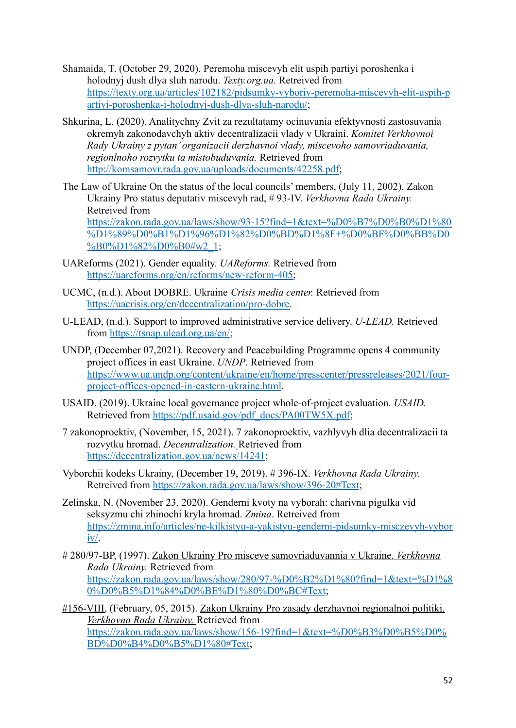- Shamaida, T. (October 29, 2020). Peremoha miscevyh elit uspih partiyi poroshenka i holodnyj dush dlya sluh narodu. *Texty.org.ua.* Retreived from [https://texty.org.ua/articles/102182/pidsumky-vyboriv-peremoha-miscevyh-elit-uspih-p](https://texty.org.ua/articles/102182/pidsumky-vyboriv-peremoha-miscevyh-elit-uspih-partiyi-poroshenka-i-holodnyj-dush-dlya-sluh-narodu/) [artiyi-poroshenka-i-holodnyj-dush-dlya-sluh-narodu/](https://texty.org.ua/articles/102182/pidsumky-vyboriv-peremoha-miscevyh-elit-uspih-partiyi-poroshenka-i-holodnyj-dush-dlya-sluh-narodu/);
- Shkurina, L. (2020). Analitychny Zvit za rezultatamy ocinuvania efektyvnosti zastosuvania okremyh zakonodavchyh aktiv decentralizacii vlady v Ukraini. *Komitet Verkhovnoi Rady Ukrainy z pytan' organizacii derzhavnoi vlady, miscevoho samovriaduvania, regionlnoho rozvytku ta mistobuduvania.* Retrieved from [http://komsamovr.rada.gov.ua/uploads/documents/42258.pdf;](http://komsamovr.rada.gov.ua/uploads/documents/42258.pdf)
- The Law of Ukraine On the status of the local councils' members, (July 11, 2002). Zakon Ukrainy Pro status deputativ miscevyh rad, # 93-IV. *Verkhovna Rada Ukrainy.* Retreived from [https://zakon.rada.gov.ua/laws/show/93-15?find=1&text=%D0%B7%D0%B0%D1%80](https://zakon.rada.gov.ua/laws/show/93-15?find=1&text=%D0%B7%D0%B0%D1%80%D1%89%D0%B1%D1%96%D1%82%D0%BD%D1%8F+%D0%BF%D0%BB%D0%B0%D1%82%D0%B0#w2_1) [%D1%89%D0%B1%D1%96%D1%82%D0%BD%D1%8F+%D0%BF%D0%BB%D0](https://zakon.rada.gov.ua/laws/show/93-15?find=1&text=%D0%B7%D0%B0%D1%80%D1%89%D0%B1%D1%96%D1%82%D0%BD%D1%8F+%D0%BF%D0%BB%D0%B0%D1%82%D0%B0#w2_1) [%B0%D1%82%D0%B0#w2\\_1](https://zakon.rada.gov.ua/laws/show/93-15?find=1&text=%D0%B7%D0%B0%D1%80%D1%89%D0%B1%D1%96%D1%82%D0%BD%D1%8F+%D0%BF%D0%BB%D0%B0%D1%82%D0%B0#w2_1);
- UAReforms (2021). Gender equality. *UAReforms.* Retrieved from [https://uareforms.org/en/reforms/new-reform-405;](https://uareforms.org/en/reforms/new-reform-405)
- UCMC, (n.d.). About DOBRE. Ukraine *Crisis media center.* Retrieved from [https://uacrisis.org/en/decentralization/pro-dobre.](https://uacrisis.org/en/decentralization/pro-dobre)
- U-LEAD, (n.d.). Support to improved administrative service delivery. *U-LEAD.* Retrieved from [https://tsnap.ulead.org.ua/en/;](https://tsnap.ulead.org.ua/en/)
- UNDP, (December 07,2021). Recovery and Peacebuilding Programme opens 4 community project offices in east Ukraine. *UNDP*. Retrieved from [https://www.ua.undp.org/content/ukraine/en/home/presscenter/pressreleases/2021/four](https://www.ua.undp.org/content/ukraine/en/home/presscenter/pressreleases/2021/four-project-offices-opened-in-eastern-ukraine.html)[project-offices-opened-in-eastern-ukraine.html](https://www.ua.undp.org/content/ukraine/en/home/presscenter/pressreleases/2021/four-project-offices-opened-in-eastern-ukraine.html).
- USAID. (2019). Ukraine local governance project whole-of-project evaluation. *USAID.* Retrieved from [https://pdf.usaid.gov/pdf\\_docs/PA00TW5X.pdf](https://pdf.usaid.gov/pdf_docs/PA00TW5X.pdf);
- 7 zakonoproektiv, (November, 15, 2021). 7 zakonoproektiv, vazhlyvyh dlia decentralizacii ta rozvytku hromad. *Decentralization.* Retrieved from <https://decentralization.gov.ua/news/14241>;
- Vyborchii kodeks Ukrainy, (December 19, 2019). # 396-IX. *Verkhovna Rada Ukrainy.* Retreived from <https://zakon.rada.gov.ua/laws/show/396-20#Text>;
- Zelinska, N. (November 23, 2020). Genderni kvoty na vyborah: charivna pigulka vid seksyzmu chi zhinochi kryla hromad. *Zmina*. Retreived from [https://zmina.info/articles/ne-kilkistyu-a-yakistyu-genderni-pidsumky-misczevyh-vybor](https://zmina.info/articles/ne-kilkistyu-a-yakistyu-genderni-pidsumky-misczevyh-vyboriv/) [iv/](https://zmina.info/articles/ne-kilkistyu-a-yakistyu-genderni-pidsumky-misczevyh-vyboriv/).
- # 280/97-BP, (1997). Zakon Ukrainy Pro misceve samovriaduvannia v Ukraine. *Verkhovna Rada Ukrainy.* Retrieved from [https://zakon.rada.gov.ua/laws/show/280/97-%D0%B2%D1%80?find=1&text=%D1%8](https://zakon.rada.gov.ua/laws/show/280/97-%D0%B2%D1%80?find=1&text=%D1%80%D0%B5%D1%84%D0%BE%D1%80%D0%BC#Text) [0%D0%B5%D1%84%D0%BE%D1%80%D0%BC#Text](https://zakon.rada.gov.ua/laws/show/280/97-%D0%B2%D1%80?find=1&text=%D1%80%D0%B5%D1%84%D0%BE%D1%80%D0%BC#Text);
- #156-VIII, (February, 05, 2015). Zakon Ukrainy Pro zasady derzhavnoi regionalnoi politiki. *Verkhovna Rada Ukrainy.* Retrieved from [https://zakon.rada.gov.ua/laws/show/156-19?find=1&text=%D0%B3%D0%B5%D0%](https://zakon.rada.gov.ua/laws/show/156-19?find=1&text=%D0%B3%D0%B5%D0%BD%D0%B4%D0%B5%D1%80#Text) [BD%D0%B4%D0%B5%D1%80#Text](https://zakon.rada.gov.ua/laws/show/156-19?find=1&text=%D0%B3%D0%B5%D0%BD%D0%B4%D0%B5%D1%80#Text);